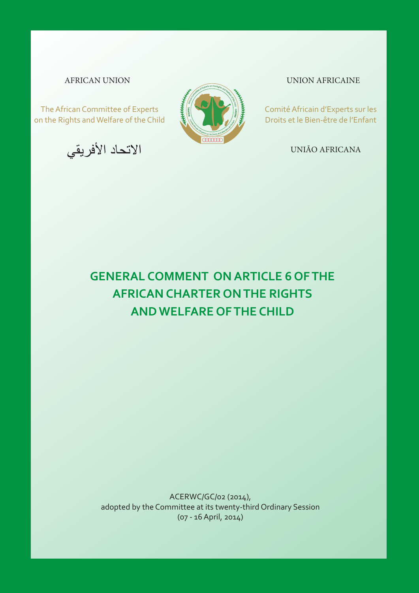The African Committee of Experts on the Rights and Welfare of the Child

الاتحاد الأفريقي



Comité Africain d'Experts sur les Droits et le Bien-être de l'Enfant

UNIÃO AFRICANA

# **GENERAL COMMENT ON ARTICLE 6 OF THE AFRICAN CHARTER ON THE RIGHTS AND WELFARE OF THE CHILD**

ACERWC/GC/02 (2014), adopted by the Committee at its twenty-third Ordinary Session (07 - 16 April, 2014)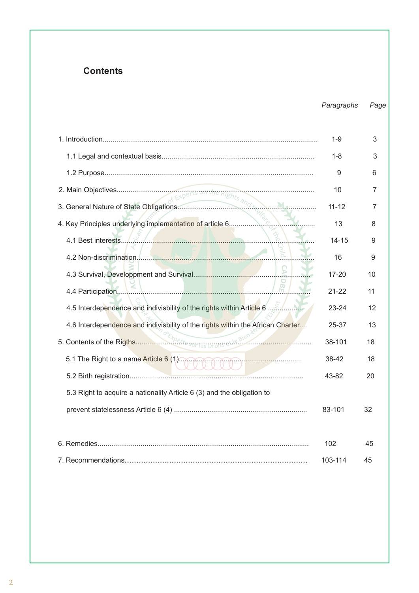# **Contents**

| Paragraphs | Page |
|------------|------|
|------------|------|

|                                                                                | $1 - 9$   | 3              |
|--------------------------------------------------------------------------------|-----------|----------------|
|                                                                                | $1 - 8$   | 3              |
|                                                                                | 9         | 6              |
|                                                                                | 10        | $\overline{7}$ |
|                                                                                | $11 - 12$ | 7              |
| 4. Key Principles underlying implementation of article 6                       | 13        | 8              |
|                                                                                | $14 - 15$ | 9              |
|                                                                                | 16        | 9              |
| £.                                                                             | $17 - 20$ | 10             |
| $\overline{\mathcal{R}}$                                                       | $21 - 22$ | 11             |
|                                                                                | 23-24     | 12             |
| 4.6 Interdependence and indivisbility of the rights within the African Charter | 25-37     | 13             |
|                                                                                | 38-101    | 18             |
| 5.1 The Right to a name Article 6 (1) CONCORCING CONTINUING CONTINUES.         | 38-42     | 18             |
|                                                                                | 43-82     | 20             |
| 5.3 Right to acquire a nationality Article 6 (3) and the obligation to         |           |                |
|                                                                                | 83-101    | 32             |
|                                                                                |           |                |
|                                                                                | 102       | 45             |
|                                                                                | 103-114   | 45             |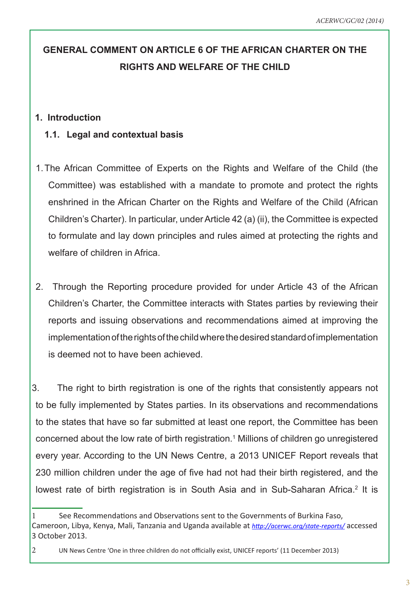# **GENERAL COMMENT ON ARTICLE 6 OF THE AFRICAN CHARTER ON THE RIGHTS AND WELFARE OF THE CHILD**

#### **1. Introduction**

#### **1.1. Legal and contextual basis**

- 1.The African Committee of Experts on the Rights and Welfare of the Child (the Committee) was established with a mandate to promote and protect the rights enshrined in the African Charter on the Rights and Welfare of the Child (African Children's Charter). In particular, under Article 42 (a) (ii), the Committee is expected to formulate and lay down principles and rules aimed at protecting the rights and welfare of children in Africa.
- 2. Through the Reporting procedure provided for under Article 43 of the African Children's Charter, the Committee interacts with States parties by reviewing their reports and issuing observations and recommendations aimed at improving the implementation of the rights of the child where the desired standard of implementation is deemed not to have been achieved.

3. The right to birth registration is one of the rights that consistently appears not to be fully implemented by States parties. In its observations and recommendations to the states that have so far submitted at least one report, the Committee has been concerned about the low rate of birth registration.<sup>1</sup> Millions of children go unregistered every year. According to the UN News Centre, a 2013 UNICEF Report reveals that 230 million children under the age of five had not had their birth registered, and the lowest rate of birth registration is in South Asia and in Sub-Saharan Africa.<sup>2</sup> It is

<sup>1</sup> See Recommendations and Observations sent to the Governments of Burkina Faso, Cameroon, Libya, Kenya, Mali, Tanzania and Uganda available at *http://acerwc.org/state-reports/* accessed 3 October 2013.

<sup>2</sup> UN News Centre 'One in three children do not officially exist, UNICEF reports' (11 December 2013)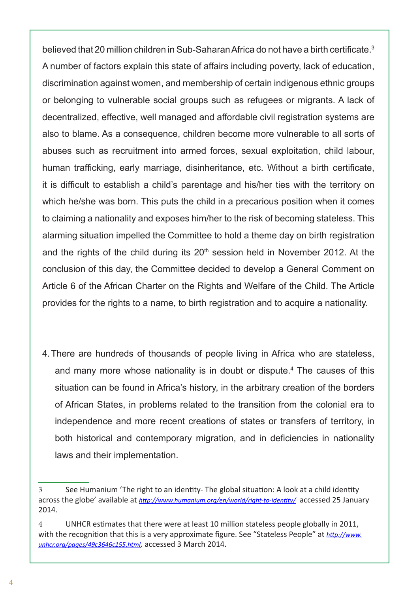believed that 20 million children in Sub-Saharan Africa do not have a birth certificate.<sup>3</sup> A number of factors explain this state of affairs including poverty, lack of education, discrimination against women, and membership of certain indigenous ethnic groups or belonging to vulnerable social groups such as refugees or migrants. A lack of decentralized, effective, well managed and affordable civil registration systems are also to blame. As a consequence, children become more vulnerable to all sorts of abuses such as recruitment into armed forces, sexual exploitation, child labour, human trafficking, early marriage, disinheritance, etc. Without a birth certificate, it is difficult to establish a child's parentage and his/her ties with the territory on which he/she was born. This puts the child in a precarious position when it comes to claiming a nationality and exposes him/her to the risk of becoming stateless. This alarming situation impelled the Committee to hold a theme day on birth registration and the rights of the child during its 20<sup>th</sup> session held in November 2012. At the conclusion of this day, the Committee decided to develop a General Comment on Article 6 of the African Charter on the Rights and Welfare of the Child. The Article provides for the rights to a name, to birth registration and to acquire a nationality.

4.There are hundreds of thousands of people living in Africa who are stateless, and many more whose nationality is in doubt or dispute.<sup>4</sup> The causes of this situation can be found in Africa's history, in the arbitrary creation of the borders of African States, in problems related to the transition from the colonial era to independence and more recent creations of states or transfers of territory, in both historical and contemporary migration, and in deficiencies in nationality laws and their implementation.

<sup>3</sup> See Humanium 'The right to an identity- The global situation: A look at a child identity across the globe' available at *http://www.humanium.org/en/world/right-to-identity/* accessed 25 January 2014.

<sup>4</sup> UNHCR estimates that there were at least 10 million stateless people globally in 2011, with the recognition that this is a very approximate figure. See "Stateless People" at *http://www. unhcr.org/pages/49c3646c155.html,* accessed 3 March 2014.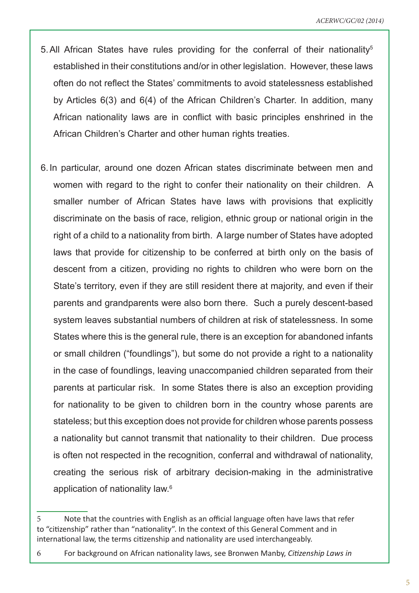- 5. All African States have rules providing for the conferral of their nationality<sup>5</sup> established in their constitutions and/or in other legislation. However, these laws often do not reflect the States' commitments to avoid statelessness established by Articles 6(3) and 6(4) of the African Children's Charter. In addition, many African nationality laws are in conflict with basic principles enshrined in the African Children's Charter and other human rights treaties.
- 6.In particular, around one dozen African states discriminate between men and women with regard to the right to confer their nationality on their children. A smaller number of African States have laws with provisions that explicitly discriminate on the basis of race, religion, ethnic group or national origin in the right of a child to a nationality from birth. A large number of States have adopted laws that provide for citizenship to be conferred at birth only on the basis of descent from a citizen, providing no rights to children who were born on the State's territory, even if they are still resident there at majority, and even if their parents and grandparents were also born there. Such a purely descent-based system leaves substantial numbers of children at risk of statelessness. In some States where this is the general rule, there is an exception for abandoned infants or small children ("foundlings"), but some do not provide a right to a nationality in the case of foundlings, leaving unaccompanied children separated from their parents at particular risk. In some States there is also an exception providing for nationality to be given to children born in the country whose parents are stateless; but this exception does not provide for children whose parents possess a nationality but cannot transmit that nationality to their children. Due process is often not respected in the recognition, conferral and withdrawal of nationality, creating the serious risk of arbitrary decision-making in the administrative application of nationality law.<sup>6</sup>

<sup>5</sup> Note that the countries with English as an official language often have laws that refer to "citizenship" rather than "nationality". In the context of this General Comment and in international law, the terms citizenship and nationality are used interchangeably.

<sup>6</sup> For background on African nationality laws, see Bronwen Manby, *Citizenship Laws in*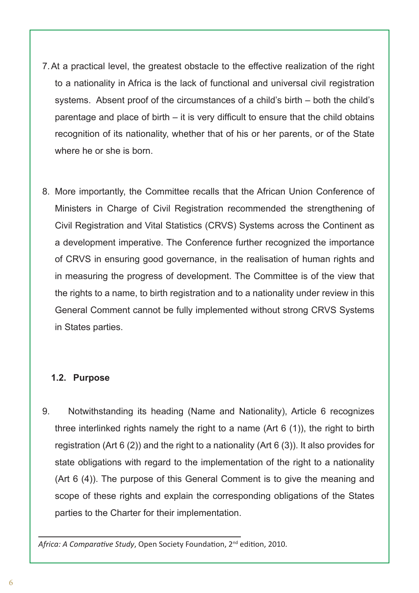- 7.At a practical level, the greatest obstacle to the effective realization of the right to a nationality in Africa is the lack of functional and universal civil registration systems. Absent proof of the circumstances of a child's birth – both the child's parentage and place of birth – it is very difficult to ensure that the child obtains recognition of its nationality, whether that of his or her parents, or of the State where he or she is born.
- 8. More importantly, the Committee recalls that the African Union Conference of Ministers in Charge of Civil Registration recommended the strengthening of Civil Registration and Vital Statistics (CRVS) Systems across the Continent as a development imperative. The Conference further recognized the importance of CRVS in ensuring good governance, in the realisation of human rights and in measuring the progress of development. The Committee is of the view that the rights to a name, to birth registration and to a nationality under review in this General Comment cannot be fully implemented without strong CRVS Systems in States parties.

#### **1.2. Purpose**

9. Notwithstanding its heading (Name and Nationality), Article 6 recognizes three interlinked rights namely the right to a name (Art 6 (1)), the right to birth registration (Art 6 (2)) and the right to a nationality (Art 6 (3)). It also provides for state obligations with regard to the implementation of the right to a nationality (Art 6 (4)). The purpose of this General Comment is to give the meaning and scope of these rights and explain the corresponding obligations of the States parties to the Charter for their implementation.

*Africa: A Comparative Study*, Open Society Foundation, 2nd edition, 2010.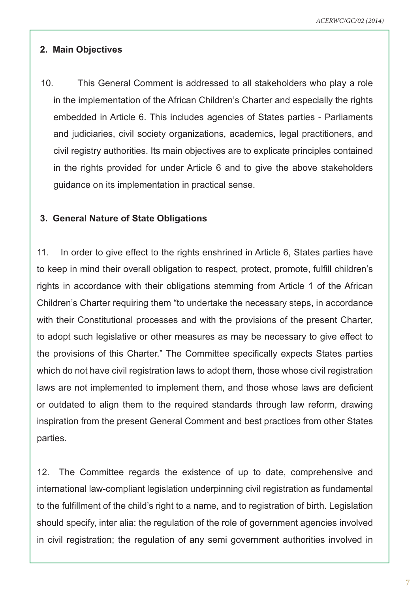## **2. Main Objectives**

10. This General Comment is addressed to all stakeholders who play a role in the implementation of the African Children's Charter and especially the rights embedded in Article 6. This includes agencies of States parties - Parliaments and judiciaries, civil society organizations, academics, legal practitioners, and civil registry authorities. Its main objectives are to explicate principles contained in the rights provided for under Article 6 and to give the above stakeholders guidance on its implementation in practical sense.

#### **3. General Nature of State Obligations**

11. In order to give effect to the rights enshrined in Article 6, States parties have to keep in mind their overall obligation to respect, protect, promote, fulfill children's rights in accordance with their obligations stemming from Article 1 of the African Children's Charter requiring them "to undertake the necessary steps, in accordance with their Constitutional processes and with the provisions of the present Charter, to adopt such legislative or other measures as may be necessary to give effect to the provisions of this Charter." The Committee specifically expects States parties which do not have civil registration laws to adopt them, those whose civil registration laws are not implemented to implement them, and those whose laws are deficient or outdated to align them to the required standards through law reform, drawing inspiration from the present General Comment and best practices from other States parties.

12. The Committee regards the existence of up to date, comprehensive and international law-compliant legislation underpinning civil registration as fundamental to the fulfillment of the child's right to a name, and to registration of birth. Legislation should specify, inter alia: the regulation of the role of government agencies involved in civil registration; the regulation of any semi government authorities involved in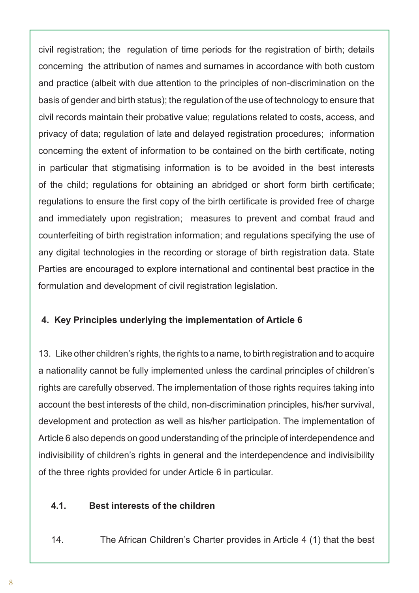civil registration; the regulation of time periods for the registration of birth; details concerning the attribution of names and surnames in accordance with both custom and practice (albeit with due attention to the principles of non-discrimination on the basis of gender and birth status); the regulation of the use of technology to ensure that civil records maintain their probative value; regulations related to costs, access, and privacy of data; regulation of late and delayed registration procedures; information concerning the extent of information to be contained on the birth certificate, noting in particular that stigmatising information is to be avoided in the best interests of the child; regulations for obtaining an abridged or short form birth certificate; regulations to ensure the first copy of the birth certificate is provided free of charge and immediately upon registration; measures to prevent and combat fraud and counterfeiting of birth registration information; and regulations specifying the use of any digital technologies in the recording or storage of birth registration data. State Parties are encouraged to explore international and continental best practice in the formulation and development of civil registration legislation.

# **4. Key Principles underlying the implementation of Article 6**

13. Like other children's rights, the rights to a name, to birth registration and to acquire a nationality cannot be fully implemented unless the cardinal principles of children's rights are carefully observed. The implementation of those rights requires taking into account the best interests of the child, non-discrimination principles, his/her survival, development and protection as well as his/her participation. The implementation of Article 6 also depends on good understanding of the principle of interdependence and indivisibility of children's rights in general and the interdependence and indivisibility of the three rights provided for under Article 6 in particular.

# **4.1. Best interests of the children**

14. The African Children's Charter provides in Article 4 (1) that the best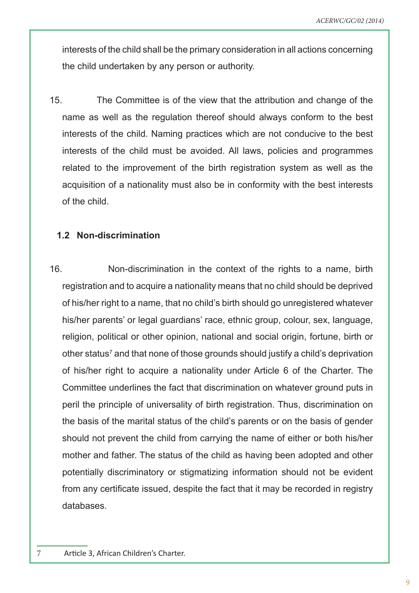interests of the child shall be the primary consideration in all actions concerning the child undertaken by any person or authority.

15. The Committee is of the view that the attribution and change of the name as well as the regulation thereof should always conform to the best interests of the child. Naming practices which are not conducive to the best interests of the child must be avoided. All laws, policies and programmes related to the improvement of the birth registration system as well as the acquisition of a nationality must also be in conformity with the best interests of the child.

#### **1.2 Non-discrimination**

16. Non-discrimination in the context of the rights to a name, birth registration and to acquire a nationality means that no child should be deprived of his/her right to a name, that no child's birth should go unregistered whatever his/her parents' or legal guardians' race, ethnic group, colour, sex, language, religion, political or other opinion, national and social origin, fortune, birth or other status<sup>7</sup> and that none of those grounds should justify a child's deprivation of his/her right to acquire a nationality under Article 6 of the Charter. The Committee underlines the fact that discrimination on whatever ground puts in peril the principle of universality of birth registration. Thus, discrimination on the basis of the marital status of the child's parents or on the basis of gender should not prevent the child from carrying the name of either or both his/her mother and father. The status of the child as having been adopted and other potentially discriminatory or stigmatizing information should not be evident from any certificate issued, despite the fact that it may be recorded in registry databases.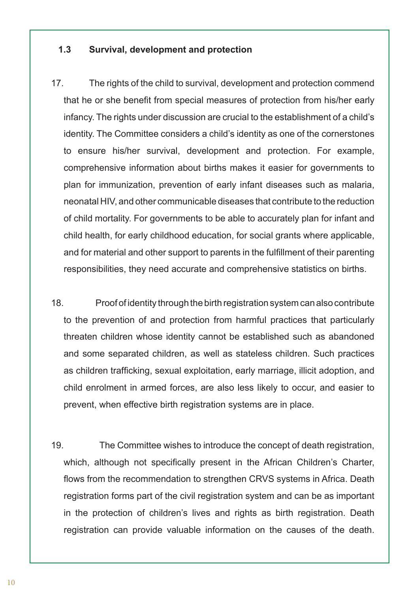#### **1.3 Survival, development and protection**

- 17. The rights of the child to survival, development and protection commend that he or she benefit from special measures of protection from his/her early infancy. The rights under discussion are crucial to the establishment of a child's identity. The Committee considers a child's identity as one of the cornerstones to ensure his/her survival, development and protection. For example, comprehensive information about births makes it easier for governments to plan for immunization, prevention of early infant diseases such as malaria, neonatal HIV, and other communicable diseases that contribute to the reduction of child mortality. For governments to be able to accurately plan for infant and child health, for early childhood education, for social grants where applicable, and for material and other support to parents in the fulfillment of their parenting responsibilities, they need accurate and comprehensive statistics on births.
- 18. Proof of identity through the birth registration system can also contribute to the prevention of and protection from harmful practices that particularly threaten children whose identity cannot be established such as abandoned and some separated children, as well as stateless children. Such practices as children trafficking, sexual exploitation, early marriage, illicit adoption, and child enrolment in armed forces, are also less likely to occur, and easier to prevent, when effective birth registration systems are in place.
- 19. The Committee wishes to introduce the concept of death registration, which, although not specifically present in the African Children's Charter, flows from the recommendation to strengthen CRVS systems in Africa. Death registration forms part of the civil registration system and can be as important in the protection of children's lives and rights as birth registration. Death registration can provide valuable information on the causes of the death.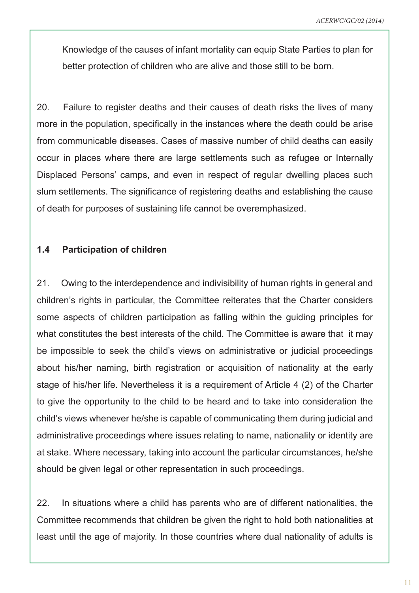Knowledge of the causes of infant mortality can equip State Parties to plan for better protection of children who are alive and those still to be born.

20. Failure to register deaths and their causes of death risks the lives of many more in the population, specifically in the instances where the death could be arise from communicable diseases. Cases of massive number of child deaths can easily occur in places where there are large settlements such as refugee or Internally Displaced Persons' camps, and even in respect of regular dwelling places such slum settlements. The significance of registering deaths and establishing the cause of death for purposes of sustaining life cannot be overemphasized.

#### **1.4 Participation of children**

21. Owing to the interdependence and indivisibility of human rights in general and children's rights in particular, the Committee reiterates that the Charter considers some aspects of children participation as falling within the guiding principles for what constitutes the best interests of the child. The Committee is aware that it may be impossible to seek the child's views on administrative or judicial proceedings about his/her naming, birth registration or acquisition of nationality at the early stage of his/her life. Nevertheless it is a requirement of Article 4 (2) of the Charter to give the opportunity to the child to be heard and to take into consideration the child's views whenever he/she is capable of communicating them during judicial and administrative proceedings where issues relating to name, nationality or identity are at stake. Where necessary, taking into account the particular circumstances, he/she should be given legal or other representation in such proceedings.

22. In situations where a child has parents who are of different nationalities, the Committee recommends that children be given the right to hold both nationalities at least until the age of majority. In those countries where dual nationality of adults is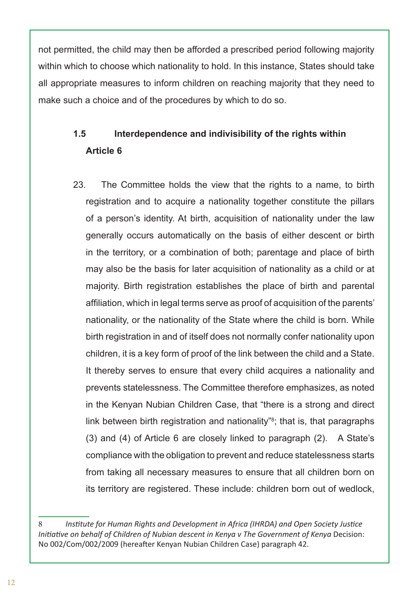not permitted, the child may then be afforded a prescribed period following majority within which to choose which nationality to hold. In this instance, States should take all appropriate measures to inform children on reaching majority that they need to make such a choice and of the procedures by which to do so.

# **1.5 Interdependence and indivisibility of the rights within Article 6**

23. The Committee holds the view that the rights to a name, to birth registration and to acquire a nationality together constitute the pillars of a person's identity. At birth, acquisition of nationality under the law generally occurs automatically on the basis of either descent or birth in the territory, or a combination of both; parentage and place of birth may also be the basis for later acquisition of nationality as a child or at majority. Birth registration establishes the place of birth and parental affiliation, which in legal terms serve as proof of acquisition of the parents' nationality, or the nationality of the State where the child is born. While birth registration in and of itself does not normally confer nationality upon children, it is a key form of proof of the link between the child and a State. It thereby serves to ensure that every child acquires a nationality and prevents statelessness. The Committee therefore emphasizes, as noted in the Kenyan Nubian Children Case, that "there is a strong and direct link between birth registration and nationality"<sup>8</sup>; that is, that paragraphs (3) and (4) of Article 6 are closely linked to paragraph (2). A State's compliance with the obligation to prevent and reduce statelessness starts from taking all necessary measures to ensure that all children born on its territory are registered. These include: children born out of wedlock,

<sup>8</sup> *Institute for Human Rights and Development in Africa (IHRDA) and Open Society Justice Initiative on behalf of Children of Nubian descent in Kenya v The Government of Kenya* Decision: No 002/Com/002/2009 (hereafter Kenyan Nubian Children Case) paragraph 42.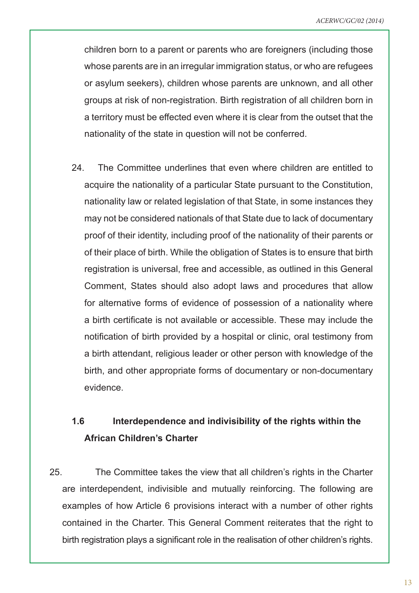children born to a parent or parents who are foreigners (including those whose parents are in an irregular immigration status, or who are refugees or asylum seekers), children whose parents are unknown, and all other groups at risk of non-registration. Birth registration of all children born in a territory must be effected even where it is clear from the outset that the nationality of the state in question will not be conferred.

24. The Committee underlines that even where children are entitled to acquire the nationality of a particular State pursuant to the Constitution, nationality law or related legislation of that State, in some instances they may not be considered nationals of that State due to lack of documentary proof of their identity, including proof of the nationality of their parents or of their place of birth. While the obligation of States is to ensure that birth registration is universal, free and accessible, as outlined in this General Comment, States should also adopt laws and procedures that allow for alternative forms of evidence of possession of a nationality where a birth certificate is not available or accessible. These may include the notification of birth provided by a hospital or clinic, oral testimony from a birth attendant, religious leader or other person with knowledge of the birth, and other appropriate forms of documentary or non-documentary evidence.

# **1.6 Interdependence and indivisibility of the rights within the African Children's Charter**

25. The Committee takes the view that all children's rights in the Charter are interdependent, indivisible and mutually reinforcing. The following are examples of how Article 6 provisions interact with a number of other rights contained in the Charter. This General Comment reiterates that the right to birth registration plays a significant role in the realisation of other children's rights.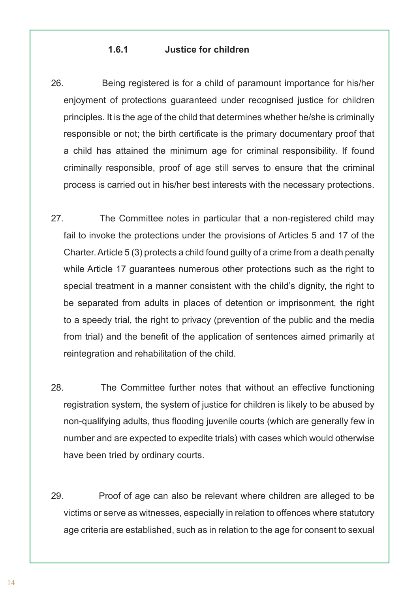#### **1.6.1 Justice for children**

- 26. Being registered is for a child of paramount importance for his/her enjoyment of protections guaranteed under recognised justice for children principles. It is the age of the child that determines whether he/she is criminally responsible or not; the birth certificate is the primary documentary proof that a child has attained the minimum age for criminal responsibility. If found criminally responsible, proof of age still serves to ensure that the criminal process is carried out in his/her best interests with the necessary protections.
- 27. The Committee notes in particular that a non-registered child may fail to invoke the protections under the provisions of Articles 5 and 17 of the Charter. Article 5 (3) protects a child found guilty of a crime from a death penalty while Article 17 guarantees numerous other protections such as the right to special treatment in a manner consistent with the child's dignity, the right to be separated from adults in places of detention or imprisonment, the right to a speedy trial, the right to privacy (prevention of the public and the media from trial) and the benefit of the application of sentences aimed primarily at reintegration and rehabilitation of the child.
- 28. The Committee further notes that without an effective functioning registration system, the system of justice for children is likely to be abused by non-qualifying adults, thus flooding juvenile courts (which are generally few in number and are expected to expedite trials) with cases which would otherwise have been tried by ordinary courts.
- 29. Proof of age can also be relevant where children are alleged to be victims or serve as witnesses, especially in relation to offences where statutory age criteria are established, such as in relation to the age for consent to sexual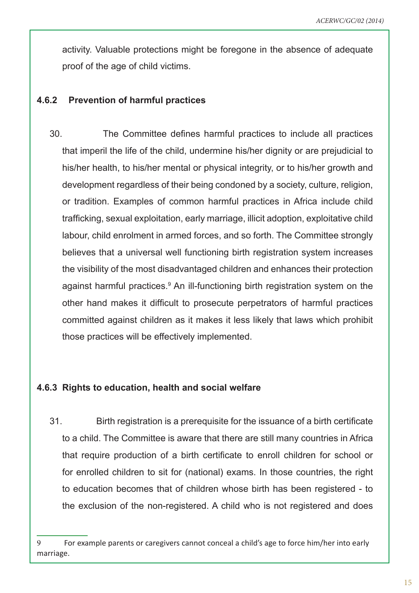activity. Valuable protections might be foregone in the absence of adequate proof of the age of child victims.

#### **4.6.2 Prevention of harmful practices**

30. The Committee defines harmful practices to include all practices that imperil the life of the child, undermine his/her dignity or are prejudicial to his/her health, to his/her mental or physical integrity, or to his/her growth and development regardless of their being condoned by a society, culture, religion, or tradition. Examples of common harmful practices in Africa include child trafficking, sexual exploitation, early marriage, illicit adoption, exploitative child labour, child enrolment in armed forces, and so forth. The Committee strongly believes that a universal well functioning birth registration system increases the visibility of the most disadvantaged children and enhances their protection against harmful practices.<sup>9</sup> An ill-functioning birth registration system on the other hand makes it difficult to prosecute perpetrators of harmful practices committed against children as it makes it less likely that laws which prohibit those practices will be effectively implemented.

#### **4.6.3 Rights to education, health and social welfare**

31. Birth registration is a prerequisite for the issuance of a birth certificate to a child. The Committee is aware that there are still many countries in Africa that require production of a birth certificate to enroll children for school or for enrolled children to sit for (national) exams. In those countries, the right to education becomes that of children whose birth has been registered - to the exclusion of the non-registered. A child who is not registered and does

<sup>9</sup> For example parents or caregivers cannot conceal a child's age to force him/her into early marriage.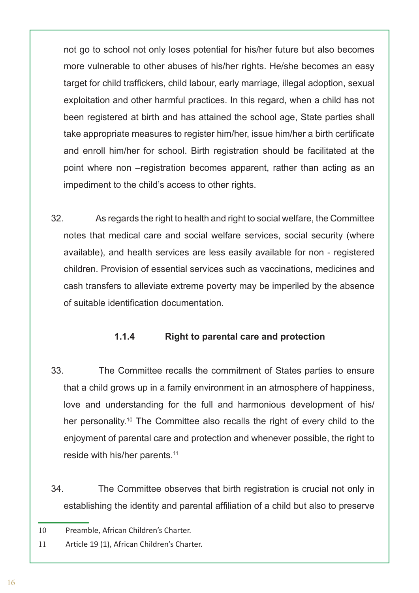not go to school not only loses potential for his/her future but also becomes more vulnerable to other abuses of his/her rights. He/she becomes an easy target for child traffickers, child labour, early marriage, illegal adoption, sexual exploitation and other harmful practices. In this regard, when a child has not been registered at birth and has attained the school age, State parties shall take appropriate measures to register him/her, issue him/her a birth certificate and enroll him/her for school. Birth registration should be facilitated at the point where non –registration becomes apparent, rather than acting as an impediment to the child's access to other rights.

32. As regards the right to health and right to social welfare, the Committee notes that medical care and social welfare services, social security (where available), and health services are less easily available for non - registered children. Provision of essential services such as vaccinations, medicines and cash transfers to alleviate extreme poverty may be imperiled by the absence of suitable identification documentation.

## **1.1.4 Right to parental care and protection**

- 33. The Committee recalls the commitment of States parties to ensure that a child grows up in a family environment in an atmosphere of happiness, love and understanding for the full and harmonious development of his/ her personality.<sup>10</sup> The Committee also recalls the right of every child to the enjoyment of parental care and protection and whenever possible, the right to reside with his/her parents.<sup>11</sup>
- 34. The Committee observes that birth registration is crucial not only in establishing the identity and parental affiliation of a child but also to preserve

<sup>10</sup> Preamble, African Children's Charter.

<sup>11</sup> Article 19 (1), African Children's Charter.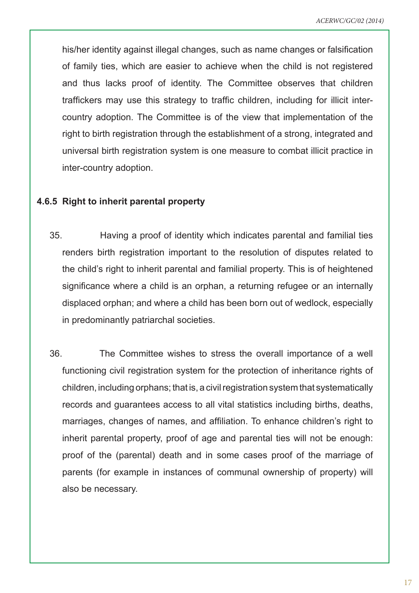his/her identity against illegal changes, such as name changes or falsification of family ties, which are easier to achieve when the child is not registered and thus lacks proof of identity. The Committee observes that children traffickers may use this strategy to traffic children, including for illicit intercountry adoption. The Committee is of the view that implementation of the right to birth registration through the establishment of a strong, integrated and universal birth registration system is one measure to combat illicit practice in inter-country adoption.

## **4.6.5 Right to inherit parental property**

- 35. Having a proof of identity which indicates parental and familial ties renders birth registration important to the resolution of disputes related to the child's right to inherit parental and familial property. This is of heightened significance where a child is an orphan, a returning refugee or an internally displaced orphan; and where a child has been born out of wedlock, especially in predominantly patriarchal societies.
- 36. The Committee wishes to stress the overall importance of a well functioning civil registration system for the protection of inheritance rights of children, including orphans; that is, a civil registration system that systematically records and guarantees access to all vital statistics including births, deaths, marriages, changes of names, and affiliation. To enhance children's right to inherit parental property, proof of age and parental ties will not be enough: proof of the (parental) death and in some cases proof of the marriage of parents (for example in instances of communal ownership of property) will also be necessary.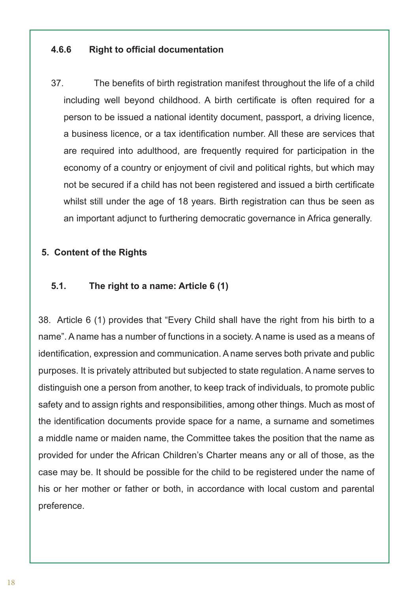# **4.6.6 Right to official documentation**

37. The benefits of birth registration manifest throughout the life of a child including well beyond childhood. A birth certificate is often required for a person to be issued a national identity document, passport, a driving licence, a business licence, or a tax identification number. All these are services that are required into adulthood, are frequently required for participation in the economy of a country or enjoyment of civil and political rights, but which may not be secured if a child has not been registered and issued a birth certificate whilst still under the age of 18 years. Birth registration can thus be seen as an important adjunct to furthering democratic governance in Africa generally.

## **5. Content of the Rights**

#### **5.1. The right to a name: Article 6 (1)**

38. Article 6 (1) provides that "Every Child shall have the right from his birth to a name". A name has a number of functions in a society. A name is used as a means of identification, expression and communication. A name serves both private and public purposes. It is privately attributed but subjected to state regulation. A name serves to distinguish one a person from another, to keep track of individuals, to promote public safety and to assign rights and responsibilities, among other things. Much as most of the identification documents provide space for a name, a surname and sometimes a middle name or maiden name, the Committee takes the position that the name as provided for under the African Children's Charter means any or all of those, as the case may be. It should be possible for the child to be registered under the name of his or her mother or father or both, in accordance with local custom and parental preference.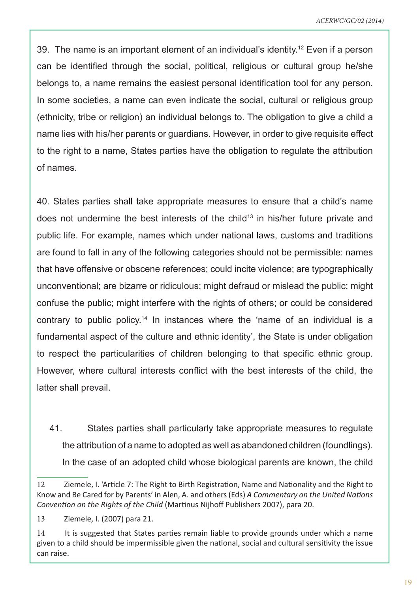39. The name is an important element of an individual's identity.12 Even if a person can be identified through the social, political, religious or cultural group he/she belongs to, a name remains the easiest personal identification tool for any person. In some societies, a name can even indicate the social, cultural or religious group (ethnicity, tribe or religion) an individual belongs to. The obligation to give a child a name lies with his/her parents or guardians. However, in order to give requisite effect to the right to a name, States parties have the obligation to regulate the attribution of names.

40. States parties shall take appropriate measures to ensure that a child's name does not undermine the best interests of the child<sup>13</sup> in his/her future private and public life. For example, names which under national laws, customs and traditions are found to fall in any of the following categories should not be permissible: names that have offensive or obscene references; could incite violence; are typographically unconventional; are bizarre or ridiculous; might defraud or mislead the public; might confuse the public; might interfere with the rights of others; or could be considered contrary to public policy.<sup>14</sup> In instances where the 'name of an individual is a fundamental aspect of the culture and ethnic identity', the State is under obligation to respect the particularities of children belonging to that specific ethnic group. However, where cultural interests conflict with the best interests of the child, the latter shall prevail.

41. States parties shall particularly take appropriate measures to regulate the attribution of a name to adopted as well as abandoned children (foundlings). In the case of an adopted child whose biological parents are known, the child

<sup>12</sup> Ziemele, I. 'Article 7: The Right to Birth Registration, Name and Nationality and the Right to Know and Be Cared for by Parents' in Alen, A. and others (Eds) *A Commentary on the United Nations Convention on the Rights of the Child* (Martinus Nijhoff Publishers 2007), para 20.

<sup>13</sup> Ziemele, I. (2007) para 21.

<sup>14</sup> It is suggested that States parties remain liable to provide grounds under which a name given to a child should be impermissible given the national, social and cultural sensitivity the issue can raise.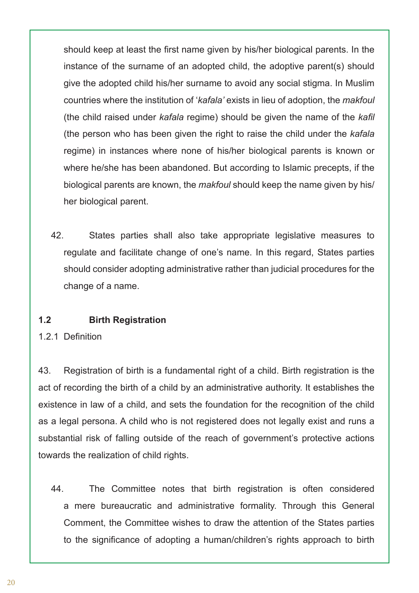should keep at least the first name given by his/her biological parents. In the instance of the surname of an adopted child, the adoptive parent(s) should give the adopted child his/her surname to avoid any social stigma. In Muslim countries where the institution of '*kafala'* exists in lieu of adoption, the *makfoul* (the child raised under *kafala* regime) should be given the name of the *kafil* (the person who has been given the right to raise the child under the *kafala* regime) in instances where none of his/her biological parents is known or where he/she has been abandoned. But according to Islamic precepts, if the biological parents are known, the *makfoul* should keep the name given by his/ her biological parent.

42. States parties shall also take appropriate legislative measures to regulate and facilitate change of one's name. In this regard, States parties should consider adopting administrative rather than judicial procedures for the change of a name.

## **1.2 Birth Registration**

1.2.1 Definition

43. Registration of birth is a fundamental right of a child. Birth registration is the act of recording the birth of a child by an administrative authority. It establishes the existence in law of a child, and sets the foundation for the recognition of the child as a legal persona. A child who is not registered does not legally exist and runs a substantial risk of falling outside of the reach of government's protective actions towards the realization of child rights.

44. The Committee notes that birth registration is often considered a mere bureaucratic and administrative formality. Through this General Comment, the Committee wishes to draw the attention of the States parties to the significance of adopting a human/children's rights approach to birth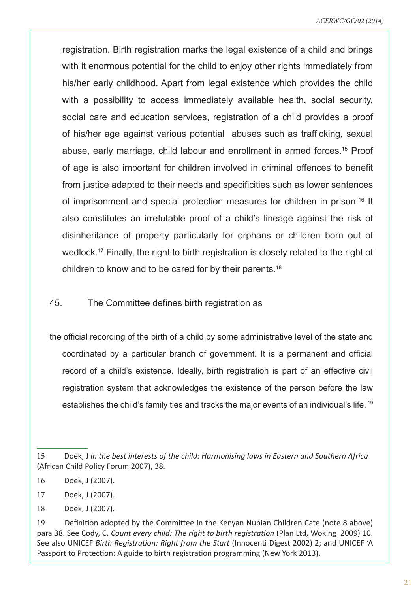registration. Birth registration marks the legal existence of a child and brings with it enormous potential for the child to enjoy other rights immediately from his/her early childhood. Apart from legal existence which provides the child with a possibility to access immediately available health, social security, social care and education services, registration of a child provides a proof of his/her age against various potential abuses such as trafficking, sexual abuse, early marriage, child labour and enrollment in armed forces.15 Proof of age is also important for children involved in criminal offences to benefit from justice adapted to their needs and specificities such as lower sentences of imprisonment and special protection measures for children in prison.16 It also constitutes an irrefutable proof of a child's lineage against the risk of disinheritance of property particularly for orphans or children born out of wedlock.17 Finally, the right to birth registration is closely related to the right of children to know and to be cared for by their parents.18

#### 45. The Committee defines birth registration as

the official recording of the birth of a child by some administrative level of the state and coordinated by a particular branch of government. It is a permanent and official record of a child's existence. Ideally, birth registration is part of an effective civil registration system that acknowledges the existence of the person before the law establishes the child's family ties and tracks the major events of an individual's life. <sup>19</sup>

18 Doek, J (2007).

<sup>15</sup> Doek, J *In the best interests of the child: Harmonising laws in Eastern and Southern Africa*  (African Child Policy Forum 2007), 38.

<sup>16</sup> Doek, J (2007).

<sup>17</sup> Doek, J (2007).

<sup>19</sup> Definition adopted by the Committee in the Kenyan Nubian Children Cate (note 8 above) para 38. See Cody, C. *Count every child: The right to birth registration* (Plan Ltd, Woking 2009) 10. See also UNICEF *Birth Registration: Right from the Start* (Innocenti Digest 2002) 2; and UNICEF 'A Passport to Protection: A guide to birth registration programming (New York 2013).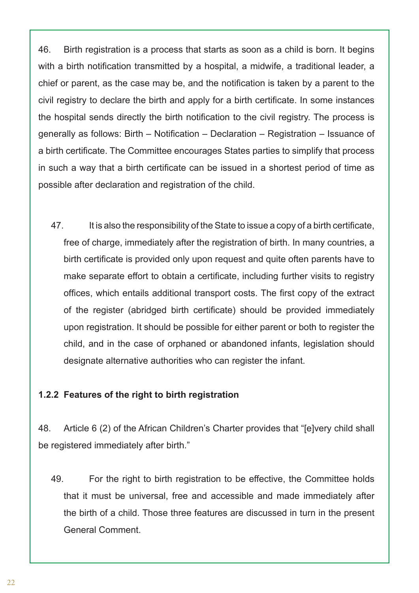46. Birth registration is a process that starts as soon as a child is born. It begins with a birth notification transmitted by a hospital, a midwife, a traditional leader, a chief or parent, as the case may be, and the notification is taken by a parent to the civil registry to declare the birth and apply for a birth certificate. In some instances the hospital sends directly the birth notification to the civil registry. The process is generally as follows: Birth – Notification – Declaration – Registration – Issuance of a birth certificate. The Committee encourages States parties to simplify that process in such a way that a birth certificate can be issued in a shortest period of time as possible after declaration and registration of the child.

47. It is also the responsibility of the State to issue a copy of a birth certificate, free of charge, immediately after the registration of birth. In many countries, a birth certificate is provided only upon request and quite often parents have to make separate effort to obtain a certificate, including further visits to registry offices, which entails additional transport costs. The first copy of the extract of the register (abridged birth certificate) should be provided immediately upon registration. It should be possible for either parent or both to register the child, and in the case of orphaned or abandoned infants, legislation should designate alternative authorities who can register the infant.

## **1.2.2 Features of the right to birth registration**

48. Article 6 (2) of the African Children's Charter provides that "[e]very child shall be registered immediately after birth."

49. For the right to birth registration to be effective, the Committee holds that it must be universal, free and accessible and made immediately after the birth of a child. Those three features are discussed in turn in the present General Comment.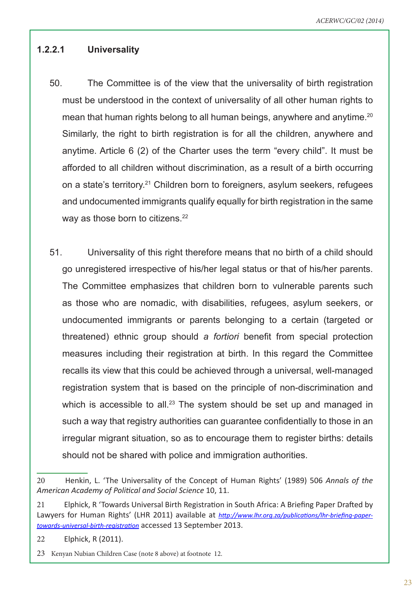# **1.2.2.1 Universality**

- 50. The Committee is of the view that the universality of birth registration must be understood in the context of universality of all other human rights to mean that human rights belong to all human beings, anywhere and anytime.<sup>20</sup> Similarly, the right to birth registration is for all the children, anywhere and anytime. Article 6 (2) of the Charter uses the term "every child". It must be afforded to all children without discrimination, as a result of a birth occurring on a state's territory.21 Children born to foreigners, asylum seekers, refugees and undocumented immigrants qualify equally for birth registration in the same way as those born to citizens.<sup>22</sup>
- 51. Universality of this right therefore means that no birth of a child should go unregistered irrespective of his/her legal status or that of his/her parents. The Committee emphasizes that children born to vulnerable parents such as those who are nomadic, with disabilities, refugees, asylum seekers, or undocumented immigrants or parents belonging to a certain (targeted or threatened) ethnic group should *a fortiori* benefit from special protection measures including their registration at birth. In this regard the Committee recalls its view that this could be achieved through a universal, well-managed registration system that is based on the principle of non-discrimination and which is accessible to all.<sup>23</sup> The system should be set up and managed in such a way that registry authorities can guarantee confidentially to those in an irregular migrant situation, so as to encourage them to register births: details should not be shared with police and immigration authorities.

21 Elphick, R 'Towards Universal Birth Registration in South Africa: A Briefing Paper Drafted by Lawyers for Human Rights' (LHR 2011) available at *http://www.lhr.org.za/publications/lhr-briefing-papertowards-universal-birth-registration* accessed 13 September 2013.

<sup>20</sup> Henkin, L. 'The Universality of the Concept of Human Rights' (1989) 506 *Annals of the American Academy of Political and Social Science* 10, 11.

<sup>22</sup> Elphick, R (2011).

<sup>23</sup> Kenyan Nubian Children Case (note 8 above) at footnote 12.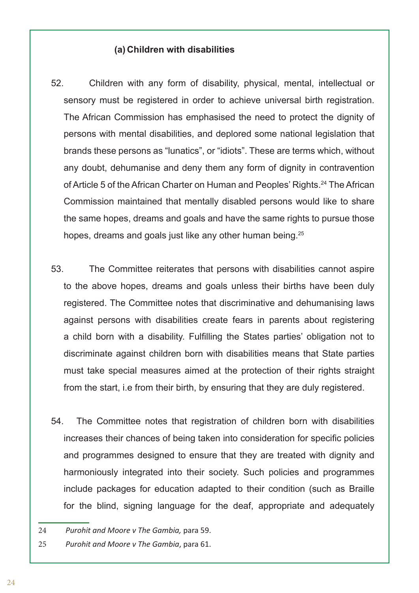#### **(a) Children with disabilities**

- 52. Children with any form of disability, physical, mental, intellectual or sensory must be registered in order to achieve universal birth registration. The African Commission has emphasised the need to protect the dignity of persons with mental disabilities, and deplored some national legislation that brands these persons as "lunatics", or "idiots". These are terms which, without any doubt, dehumanise and deny them any form of dignity in contravention of Article 5 of the African Charter on Human and Peoples' Rights.<sup>24</sup> The African Commission maintained that mentally disabled persons would like to share the same hopes, dreams and goals and have the same rights to pursue those hopes, dreams and goals just like any other human being.<sup>25</sup>
- 53. The Committee reiterates that persons with disabilities cannot aspire to the above hopes, dreams and goals unless their births have been duly registered. The Committee notes that discriminative and dehumanising laws against persons with disabilities create fears in parents about registering a child born with a disability. Fulfilling the States parties' obligation not to discriminate against children born with disabilities means that State parties must take special measures aimed at the protection of their rights straight from the start, i.e from their birth, by ensuring that they are duly registered.
- 54. The Committee notes that registration of children born with disabilities increases their chances of being taken into consideration for specific policies and programmes designed to ensure that they are treated with dignity and harmoniously integrated into their society. Such policies and programmes include packages for education adapted to their condition (such as Braille for the blind, signing language for the deaf, appropriate and adequately

<sup>24</sup> *Purohit and Moore v The Gambia,* para 59.

<sup>25</sup> *Purohit and Moore v The Gambia*, para 61.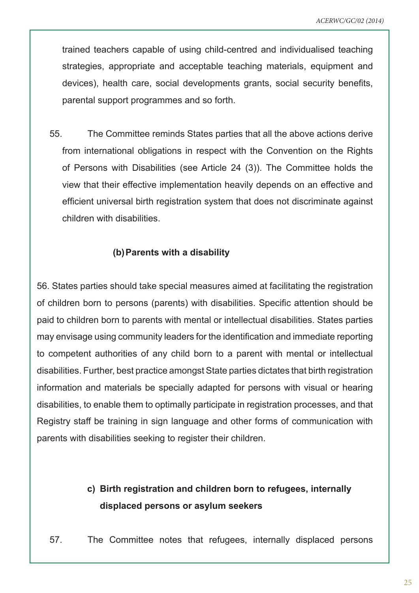trained teachers capable of using child-centred and individualised teaching strategies, appropriate and acceptable teaching materials, equipment and devices), health care, social developments grants, social security benefits, parental support programmes and so forth.

55. The Committee reminds States parties that all the above actions derive from international obligations in respect with the Convention on the Rights of Persons with Disabilities (see Article 24 (3)). The Committee holds the view that their effective implementation heavily depends on an effective and efficient universal birth registration system that does not discriminate against children with disabilities.

## **(b)Parents with a disability**

56. States parties should take special measures aimed at facilitating the registration of children born to persons (parents) with disabilities. Specific attention should be paid to children born to parents with mental or intellectual disabilities. States parties may envisage using community leaders for the identification and immediate reporting to competent authorities of any child born to a parent with mental or intellectual disabilities. Further, best practice amongst State parties dictates that birth registration information and materials be specially adapted for persons with visual or hearing disabilities, to enable them to optimally participate in registration processes, and that Registry staff be training in sign language and other forms of communication with parents with disabilities seeking to register their children.

# **c) Birth registration and children born to refugees, internally displaced persons or asylum seekers**

57. The Committee notes that refugees, internally displaced persons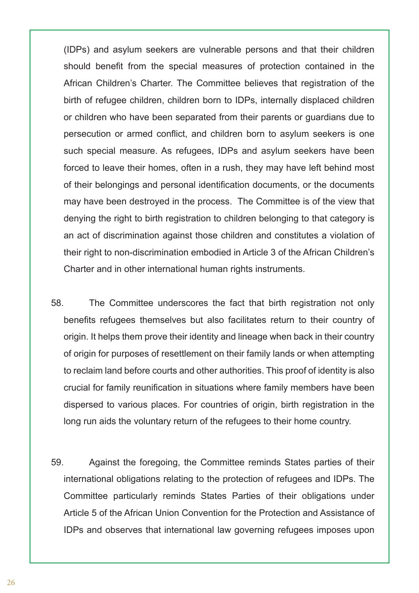(IDPs) and asylum seekers are vulnerable persons and that their children should benefit from the special measures of protection contained in the African Children's Charter. The Committee believes that registration of the birth of refugee children, children born to IDPs, internally displaced children or children who have been separated from their parents or guardians due to persecution or armed conflict, and children born to asylum seekers is one such special measure. As refugees, IDPs and asylum seekers have been forced to leave their homes, often in a rush, they may have left behind most of their belongings and personal identification documents, or the documents may have been destroyed in the process. The Committee is of the view that denying the right to birth registration to children belonging to that category is an act of discrimination against those children and constitutes a violation of their right to non-discrimination embodied in Article 3 of the African Children's Charter and in other international human rights instruments.

- 58. The Committee underscores the fact that birth registration not only benefits refugees themselves but also facilitates return to their country of origin. It helps them prove their identity and lineage when back in their country of origin for purposes of resettlement on their family lands or when attempting to reclaim land before courts and other authorities. This proof of identity is also crucial for family reunification in situations where family members have been dispersed to various places. For countries of origin, birth registration in the long run aids the voluntary return of the refugees to their home country.
- 59. Against the foregoing, the Committee reminds States parties of their international obligations relating to the protection of refugees and IDPs. The Committee particularly reminds States Parties of their obligations under Article 5 of the African Union Convention for the Protection and Assistance of IDPs and observes that international law governing refugees imposes upon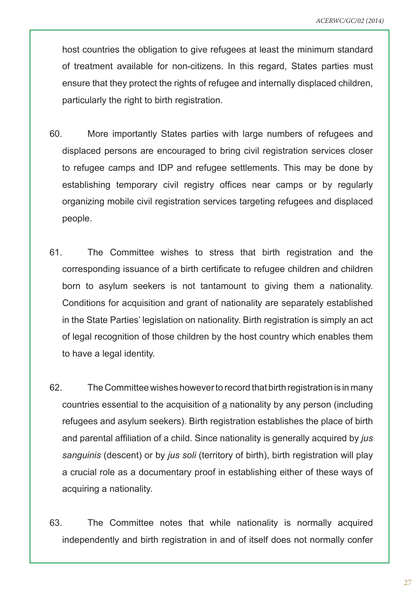host countries the obligation to give refugees at least the minimum standard of treatment available for non-citizens. In this regard, States parties must ensure that they protect the rights of refugee and internally displaced children, particularly the right to birth registration.

- 60. More importantly States parties with large numbers of refugees and displaced persons are encouraged to bring civil registration services closer to refugee camps and IDP and refugee settlements. This may be done by establishing temporary civil registry offices near camps or by regularly organizing mobile civil registration services targeting refugees and displaced people.
- 61. The Committee wishes to stress that birth registration and the corresponding issuance of a birth certificate to refugee children and children born to asylum seekers is not tantamount to giving them a nationality. Conditions for acquisition and grant of nationality are separately established in the State Parties' legislation on nationality. Birth registration is simply an act of legal recognition of those children by the host country which enables them to have a legal identity.
- 62. The Committee wishes however to record that birth registration is in many countries essential to the acquisition of  $\alpha$  nationality by any person (including refugees and asylum seekers). Birth registration establishes the place of birth and parental affiliation of a child. Since nationality is generally acquired by *jus sanguinis* (descent) or by *jus soli* (territory of birth), birth registration will play a crucial role as a documentary proof in establishing either of these ways of acquiring a nationality.
- 63. The Committee notes that while nationality is normally acquired independently and birth registration in and of itself does not normally confer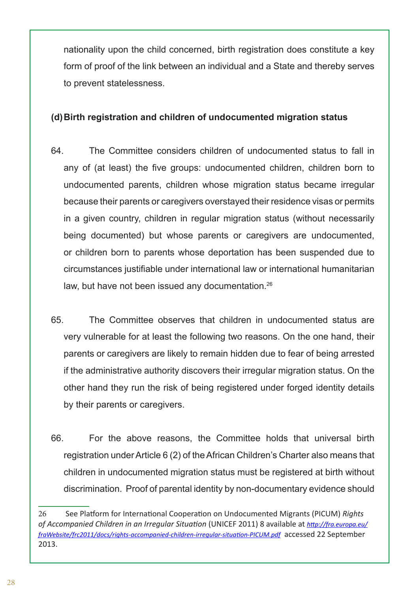nationality upon the child concerned, birth registration does constitute a key form of proof of the link between an individual and a State and thereby serves to prevent statelessness.

# **(d)Birth registration and children of undocumented migration status**

- 64. The Committee considers children of undocumented status to fall in any of (at least) the five groups: undocumented children, children born to undocumented parents, children whose migration status became irregular because their parents or caregivers overstayed their residence visas or permits in a given country, children in regular migration status (without necessarily being documented) but whose parents or caregivers are undocumented, or children born to parents whose deportation has been suspended due to circumstances justifiable under international law or international humanitarian law, but have not been issued any documentation.26
- 65. The Committee observes that children in undocumented status are very vulnerable for at least the following two reasons. On the one hand, their parents or caregivers are likely to remain hidden due to fear of being arrested if the administrative authority discovers their irregular migration status. On the other hand they run the risk of being registered under forged identity details by their parents or caregivers.
- 66. For the above reasons, the Committee holds that universal birth registration under Article 6 (2) of the African Children's Charter also means that children in undocumented migration status must be registered at birth without discrimination. Proof of parental identity by non-documentary evidence should

<sup>26</sup> See Platform for International Cooperation on Undocumented Migrants (PICUM) *Rights of Accompanied Children in an Irregular Situation* (UNICEF 2011) 8 available at *http://fra.europa.eu/ fraWebsite/frc2011/docs/rights-accompanied-children-irregular-situation-PICUM.pdf* accessed 22 September 2013.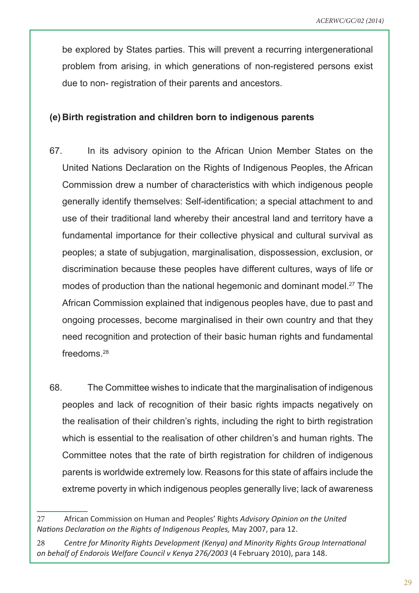be explored by States parties. This will prevent a recurring intergenerational problem from arising, in which generations of non-registered persons exist due to non- registration of their parents and ancestors.

#### **(e) Birth registration and children born to indigenous parents**

- 67. In its advisory opinion to the African Union Member States on the United Nations Declaration on the Rights of Indigenous Peoples, the African Commission drew a number of characteristics with which indigenous people generally identify themselves: Self-identification; a special attachment to and use of their traditional land whereby their ancestral land and territory have a fundamental importance for their collective physical and cultural survival as peoples; a state of subjugation, marginalisation, dispossession, exclusion, or discrimination because these peoples have different cultures, ways of life or modes of production than the national hegemonic and dominant model.<sup>27</sup> The African Commission explained that indigenous peoples have, due to past and ongoing processes, become marginalised in their own country and that they need recognition and protection of their basic human rights and fundamental freedoms.28
- 68. The Committee wishes to indicate that the marginalisation of indigenous peoples and lack of recognition of their basic rights impacts negatively on the realisation of their children's rights, including the right to birth registration which is essential to the realisation of other children's and human rights. The Committee notes that the rate of birth registration for children of indigenous parents is worldwide extremely low. Reasons for this state of affairs include the extreme poverty in which indigenous peoples generally live; lack of awareness

<sup>27</sup> African Commission on Human and Peoples' Rights *Advisory Opinion on the United Nations Declaration on the Rights of Indigenous Peoples,* May 2007, para 12.

<sup>28</sup> *Centre for Minority Rights Development (Kenya) and Minority Rights Group International on behalf of Endorois Welfare Council v Kenya 276/2003* (4 February 2010), para 148.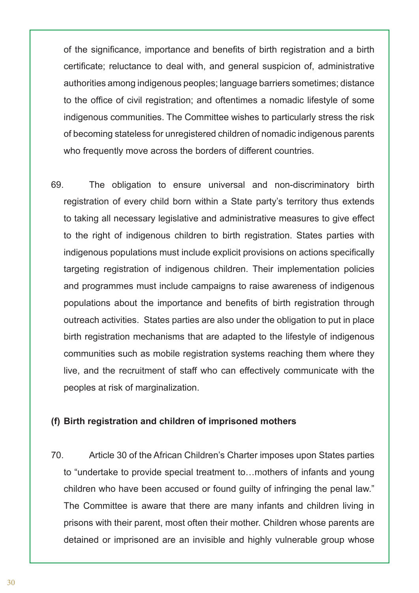of the significance, importance and benefits of birth registration and a birth certificate; reluctance to deal with, and general suspicion of, administrative authorities among indigenous peoples; language barriers sometimes; distance to the office of civil registration; and oftentimes a nomadic lifestyle of some indigenous communities. The Committee wishes to particularly stress the risk of becoming stateless for unregistered children of nomadic indigenous parents who frequently move across the borders of different countries.

69. The obligation to ensure universal and non-discriminatory birth registration of every child born within a State party's territory thus extends to taking all necessary legislative and administrative measures to give effect to the right of indigenous children to birth registration. States parties with indigenous populations must include explicit provisions on actions specifically targeting registration of indigenous children. Their implementation policies and programmes must include campaigns to raise awareness of indigenous populations about the importance and benefits of birth registration through outreach activities. States parties are also under the obligation to put in place birth registration mechanisms that are adapted to the lifestyle of indigenous communities such as mobile registration systems reaching them where they live, and the recruitment of staff who can effectively communicate with the peoples at risk of marginalization.

#### **(f) Birth registration and children of imprisoned mothers**

70. Article 30 of the African Children's Charter imposes upon States parties to "undertake to provide special treatment to…mothers of infants and young children who have been accused or found guilty of infringing the penal law." The Committee is aware that there are many infants and children living in prisons with their parent, most often their mother. Children whose parents are detained or imprisoned are an invisible and highly vulnerable group whose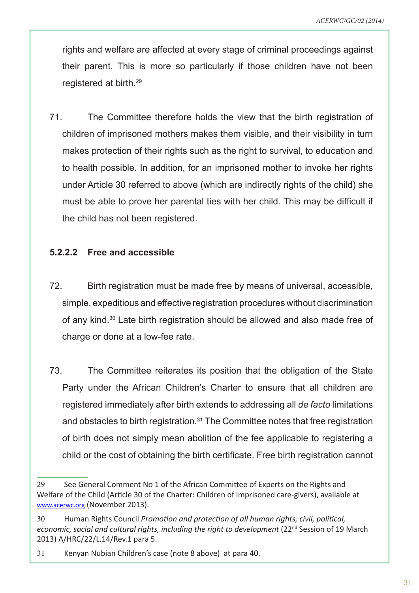rights and welfare are affected at every stage of criminal proceedings against their parent. This is more so particularly if those children have not been registered at birth.29

71. The Committee therefore holds the view that the birth registration of children of imprisoned mothers makes them visible, and their visibility in turn makes protection of their rights such as the right to survival, to education and to health possible. In addition, for an imprisoned mother to invoke her rights under Article 30 referred to above (which are indirectly rights of the child) she must be able to prove her parental ties with her child. This may be difficult if the child has not been registered.

#### **5.2.2.2 Free and accessible**

- 72. Birth registration must be made free by means of universal, accessible, simple, expeditious and effective registration procedures without discrimination of any kind.30 Late birth registration should be allowed and also made free of charge or done at a low-fee rate.
- 73. The Committee reiterates its position that the obligation of the State Party under the African Children's Charter to ensure that all children are registered immediately after birth extends to addressing all *de facto* limitations and obstacles to birth registration.<sup>31</sup> The Committee notes that free registration of birth does not simply mean abolition of the fee applicable to registering a child or the cost of obtaining the birth certificate. Free birth registration cannot

30 Human Rights Council *Promotion and protection of all human rights, civil, political,*  economic, social and cultural rights, including the right to development (22<sup>nd</sup> Session of 19 March 2013) A/HRC/22/L.14/Rev.1 para 5.

<sup>29</sup> See General Comment No 1 of the African Committee of Experts on the Rights and Welfare of the Child (Article 30 of the Charter: Children of imprisoned care-givers), available at www.acerwc.org (November 2013).

<sup>31</sup> Kenyan Nubian Children's case (note 8 above) at para 40.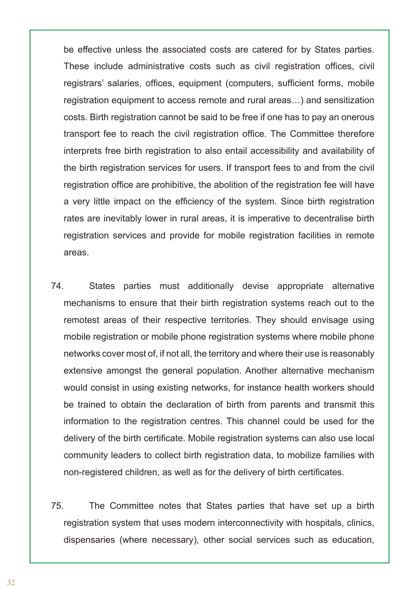be effective unless the associated costs are catered for by States parties. These include administrative costs such as civil registration offices, civil registrars' salaries, offices, equipment (computers, sufficient forms, mobile registration equipment to access remote and rural areas…) and sensitization costs. Birth registration cannot be said to be free if one has to pay an onerous transport fee to reach the civil registration office. The Committee therefore interprets free birth registration to also entail accessibility and availability of the birth registration services for users. If transport fees to and from the civil registration office are prohibitive, the abolition of the registration fee will have a very little impact on the efficiency of the system. Since birth registration rates are inevitably lower in rural areas, it is imperative to decentralise birth registration services and provide for mobile registration facilities in remote areas.

- 74. States parties must additionally devise appropriate alternative mechanisms to ensure that their birth registration systems reach out to the remotest areas of their respective territories. They should envisage using mobile registration or mobile phone registration systems where mobile phone networks cover most of, if not all, the territory and where their use is reasonably extensive amongst the general population. Another alternative mechanism would consist in using existing networks, for instance health workers should be trained to obtain the declaration of birth from parents and transmit this information to the registration centres. This channel could be used for the delivery of the birth certificate. Mobile registration systems can also use local community leaders to collect birth registration data, to mobilize families with non-registered children, as well as for the delivery of birth certificates.
- 75. The Committee notes that States parties that have set up a birth registration system that uses modern interconnectivity with hospitals, clinics, dispensaries (where necessary), other social services such as education,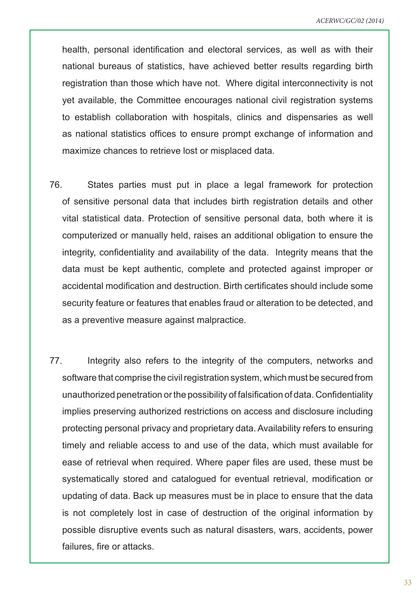health, personal identification and electoral services, as well as with their national bureaus of statistics, have achieved better results regarding birth registration than those which have not. Where digital interconnectivity is not yet available, the Committee encourages national civil registration systems to establish collaboration with hospitals, clinics and dispensaries as well as national statistics offices to ensure prompt exchange of information and maximize chances to retrieve lost or misplaced data.

- 76. States parties must put in place a legal framework for protection of sensitive personal data that includes birth registration details and other vital statistical data. Protection of sensitive personal data, both where it is computerized or manually held, raises an additional obligation to ensure the integrity, confidentiality and availability of the data. Integrity means that the data must be kept authentic, complete and protected against improper or accidental modification and destruction. Birth certificates should include some security feature or features that enables fraud or alteration to be detected, and as a preventive measure against malpractice.
- 77. Integrity also refers to the integrity of the computers, networks and software that comprise the civil registration system, which must be secured from unauthorized penetration or the possibility of falsification of data. Confidentiality implies preserving authorized restrictions on access and disclosure including protecting personal privacy and proprietary data. Availability refers to ensuring timely and reliable access to and use of the data, which must available for ease of retrieval when required. Where paper files are used, these must be systematically stored and catalogued for eventual retrieval, modification or updating of data. Back up measures must be in place to ensure that the data is not completely lost in case of destruction of the original information by possible disruptive events such as natural disasters, wars, accidents, power failures, fire or attacks.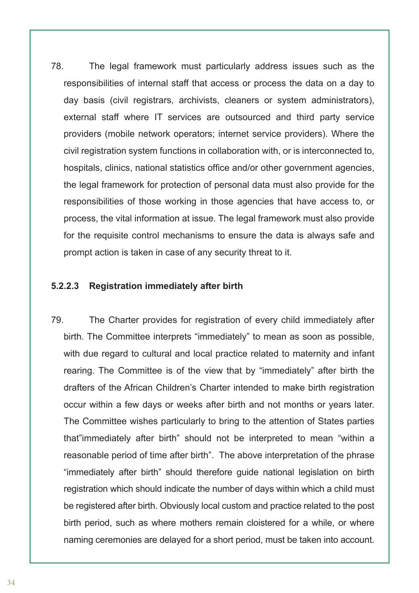78. The legal framework must particularly address issues such as the responsibilities of internal staff that access or process the data on a day to day basis (civil registrars, archivists, cleaners or system administrators), external staff where IT services are outsourced and third party service providers (mobile network operators; internet service providers). Where the civil registration system functions in collaboration with, or is interconnected to, hospitals, clinics, national statistics office and/or other government agencies, the legal framework for protection of personal data must also provide for the responsibilities of those working in those agencies that have access to, or process, the vital information at issue. The legal framework must also provide for the requisite control mechanisms to ensure the data is always safe and prompt action is taken in case of any security threat to it.

#### **5.2.2.3 Registration immediately after birth**

79. The Charter provides for registration of every child immediately after birth. The Committee interprets "immediately" to mean as soon as possible, with due regard to cultural and local practice related to maternity and infant rearing. The Committee is of the view that by "immediately" after birth the drafters of the African Children's Charter intended to make birth registration occur within a few days or weeks after birth and not months or years later. The Committee wishes particularly to bring to the attention of States parties that"immediately after birth" should not be interpreted to mean "within a reasonable period of time after birth". The above interpretation of the phrase "immediately after birth" should therefore guide national legislation on birth registration which should indicate the number of days within which a child must be registered after birth. Obviously local custom and practice related to the post birth period, such as where mothers remain cloistered for a while, or where naming ceremonies are delayed for a short period, must be taken into account.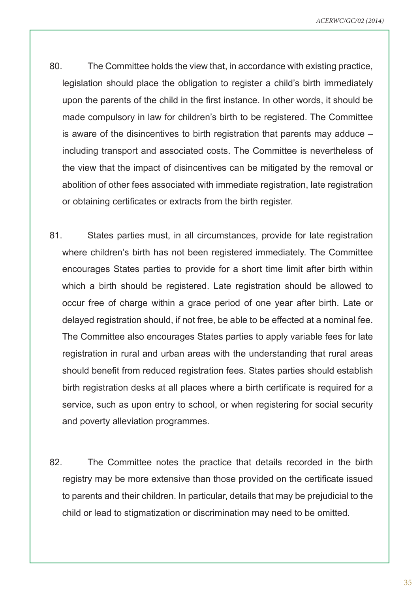- 80. The Committee holds the view that, in accordance with existing practice, legislation should place the obligation to register a child's birth immediately upon the parents of the child in the first instance. In other words, it should be made compulsory in law for children's birth to be registered. The Committee is aware of the disincentives to birth registration that parents may adduce – including transport and associated costs. The Committee is nevertheless of the view that the impact of disincentives can be mitigated by the removal or abolition of other fees associated with immediate registration, late registration or obtaining certificates or extracts from the birth register.
- 81. States parties must, in all circumstances, provide for late registration where children's birth has not been registered immediately. The Committee encourages States parties to provide for a short time limit after birth within which a birth should be registered. Late registration should be allowed to occur free of charge within a grace period of one year after birth. Late or delayed registration should, if not free, be able to be effected at a nominal fee. The Committee also encourages States parties to apply variable fees for late registration in rural and urban areas with the understanding that rural areas should benefit from reduced registration fees. States parties should establish birth registration desks at all places where a birth certificate is required for a service, such as upon entry to school, or when registering for social security and poverty alleviation programmes.
- 82. The Committee notes the practice that details recorded in the birth registry may be more extensive than those provided on the certificate issued to parents and their children. In particular, details that may be prejudicial to the child or lead to stigmatization or discrimination may need to be omitted.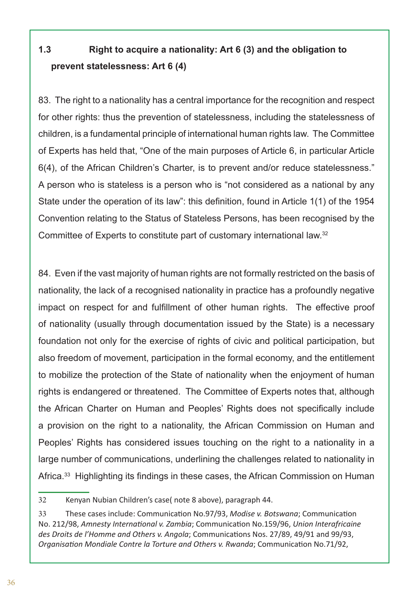# **1.3 Right to acquire a nationality: Art 6 (3) and the obligation to prevent statelessness: Art 6 (4)**

83. The right to a nationality has a central importance for the recognition and respect for other rights: thus the prevention of statelessness, including the statelessness of children, is a fundamental principle of international human rights law. The Committee of Experts has held that, "One of the main purposes of Article 6, in particular Article 6(4), of the African Children's Charter, is to prevent and/or reduce statelessness." A person who is stateless is a person who is "not considered as a national by any State under the operation of its law": this definition, found in Article 1(1) of the 1954 Convention relating to the Status of Stateless Persons, has been recognised by the Committee of Experts to constitute part of customary international law.32

84. Even if the vast majority of human rights are not formally restricted on the basis of nationality, the lack of a recognised nationality in practice has a profoundly negative impact on respect for and fulfillment of other human rights. The effective proof of nationality (usually through documentation issued by the State) is a necessary foundation not only for the exercise of rights of civic and political participation, but also freedom of movement, participation in the formal economy, and the entitlement to mobilize the protection of the State of nationality when the enjoyment of human rights is endangered or threatened. The Committee of Experts notes that, although the African Charter on Human and Peoples' Rights does not specifically include a provision on the right to a nationality, the African Commission on Human and Peoples' Rights has considered issues touching on the right to a nationality in a large number of communications, underlining the challenges related to nationality in Africa.<sup>33</sup> Highlighting its findings in these cases, the African Commission on Human

<sup>32</sup> Kenyan Nubian Children's case( note 8 above), paragraph 44.

<sup>33</sup> These cases include: Communication No.97/93, *Modise v. Botswana*; Communication No. 212/98, *Amnesty International v. Zambia*; Communication No.159/96, *Union Interafricaine des Droits de l'Homme and Others v. Angola*; Communications Nos. 27/89, 49/91 and 99/93, *Organisation Mondiale Contre la Torture and Others v. Rwanda*; Communication No.71/92,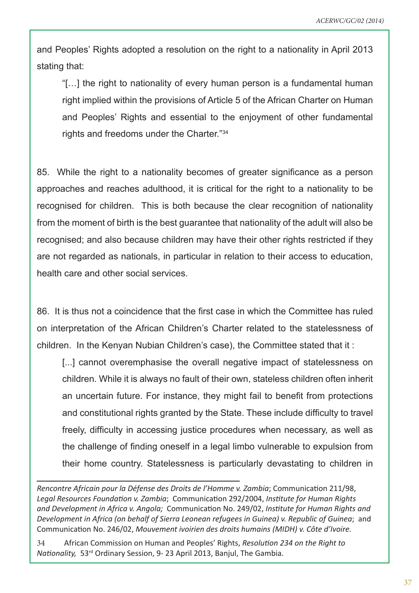and Peoples' Rights adopted a resolution on the right to a nationality in April 2013 stating that:

"[…] the right to nationality of every human person is a fundamental human right implied within the provisions of Article 5 of the African Charter on Human and Peoples' Rights and essential to the enjoyment of other fundamental rights and freedoms under the Charter."34

85. While the right to a nationality becomes of greater significance as a person approaches and reaches adulthood, it is critical for the right to a nationality to be recognised for children. This is both because the clear recognition of nationality from the moment of birth is the best guarantee that nationality of the adult will also be recognised; and also because children may have their other rights restricted if they are not regarded as nationals, in particular in relation to their access to education, health care and other social services.

86. It is thus not a coincidence that the first case in which the Committee has ruled on interpretation of the African Children's Charter related to the statelessness of children. In the Kenyan Nubian Children's case), the Committee stated that it :

[...] cannot overemphasise the overall negative impact of statelessness on children. While it is always no fault of their own, stateless children often inherit an uncertain future. For instance, they might fail to benefit from protections and constitutional rights granted by the State. These include difficulty to travel freely, difficulty in accessing justice procedures when necessary, as well as the challenge of finding oneself in a legal limbo vulnerable to expulsion from their home country. Statelessness is particularly devastating to children in

*Rencontre Africain pour la Défense des Droits de l'Homme v. Zambia*; Communication 211/98, *Legal Resources Foundation v. Zambia*; Communication 292/2004, *Institute for Human Rights and Development in Africa v. Angola;* Communication No. 249/02, *Institute for Human Rights and Development in Africa (on behalf of Sierra Leonean refugees in Guinea) v. Republic of Guinea*; and Communication No. 246/02, *Mouvement ivoirien des droits humains (MIDH) v. Côte d'Ivoire.*

34 African Commission on Human and Peoples' Rights, *Resolution 234 on the Right to Nationality,* 53rd Ordinary Session, 9- 23 April 2013, Banjul, The Gambia.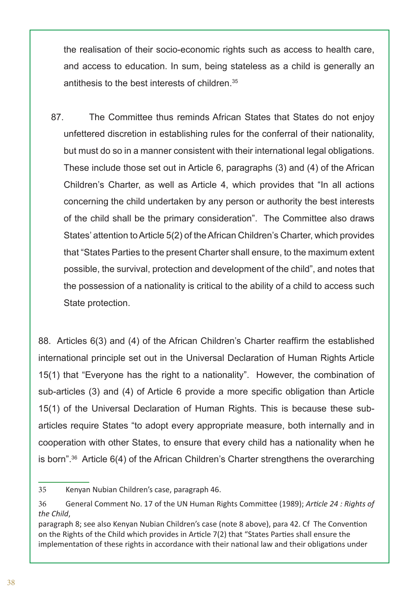the realisation of their socio-economic rights such as access to health care, and access to education. In sum, being stateless as a child is generally an antithesis to the best interests of children.35

87. The Committee thus reminds African States that States do not enjoy unfettered discretion in establishing rules for the conferral of their nationality, but must do so in a manner consistent with their international legal obligations. These include those set out in Article 6, paragraphs (3) and (4) of the African Children's Charter, as well as Article 4, which provides that "In all actions concerning the child undertaken by any person or authority the best interests of the child shall be the primary consideration". The Committee also draws States' attention to Article 5(2) of the African Children's Charter, which provides that "States Parties to the present Charter shall ensure, to the maximum extent possible, the survival, protection and development of the child", and notes that the possession of a nationality is critical to the ability of a child to access such State protection.

88. Articles 6(3) and (4) of the African Children's Charter reaffirm the established international principle set out in the Universal Declaration of Human Rights Article 15(1) that "Everyone has the right to a nationality". However, the combination of sub-articles (3) and (4) of Article 6 provide a more specific obligation than Article 15(1) of the Universal Declaration of Human Rights. This is because these subarticles require States "to adopt every appropriate measure, both internally and in cooperation with other States, to ensure that every child has a nationality when he is born".36 Article 6(4) of the African Children's Charter strengthens the overarching

<sup>35</sup> Kenyan Nubian Children's case, paragraph 46.

<sup>36</sup> General Comment No. 17 of the UN Human Rights Committee (1989); *Article 24 : Rights of the Child*,

paragraph 8; see also Kenyan Nubian Children's case (note 8 above), para 42. Cf The Convention on the Rights of the Child which provides in Article 7(2) that "States Parties shall ensure the implementation of these rights in accordance with their national law and their obligations under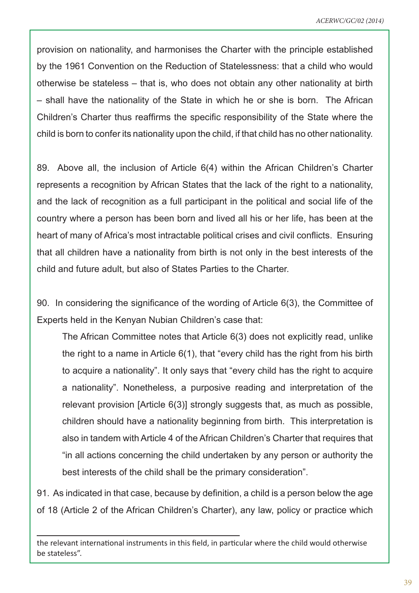provision on nationality, and harmonises the Charter with the principle established by the 1961 Convention on the Reduction of Statelessness: that a child who would otherwise be stateless – that is, who does not obtain any other nationality at birth – shall have the nationality of the State in which he or she is born. The African Children's Charter thus reaffirms the specific responsibility of the State where the child is born to confer its nationality upon the child, if that child has no other nationality.

89. Above all, the inclusion of Article 6(4) within the African Children's Charter represents a recognition by African States that the lack of the right to a nationality, and the lack of recognition as a full participant in the political and social life of the country where a person has been born and lived all his or her life, has been at the heart of many of Africa's most intractable political crises and civil conflicts. Ensuring that all children have a nationality from birth is not only in the best interests of the child and future adult, but also of States Parties to the Charter.

90. In considering the significance of the wording of Article 6(3), the Committee of Experts held in the Kenyan Nubian Children's case that:

The African Committee notes that Article 6(3) does not explicitly read, unlike the right to a name in Article 6(1), that "every child has the right from his birth to acquire a nationality". It only says that "every child has the right to acquire a nationality". Nonetheless, a purposive reading and interpretation of the relevant provision [Article 6(3)] strongly suggests that, as much as possible, children should have a nationality beginning from birth. This interpretation is also in tandem with Article 4 of the African Children's Charter that requires that "in all actions concerning the child undertaken by any person or authority the best interests of the child shall be the primary consideration".

91. As indicated in that case, because by definition, a child is a person below the age of 18 (Article 2 of the African Children's Charter), any law, policy or practice which

the relevant international instruments in this field, in particular where the child would otherwise be stateless".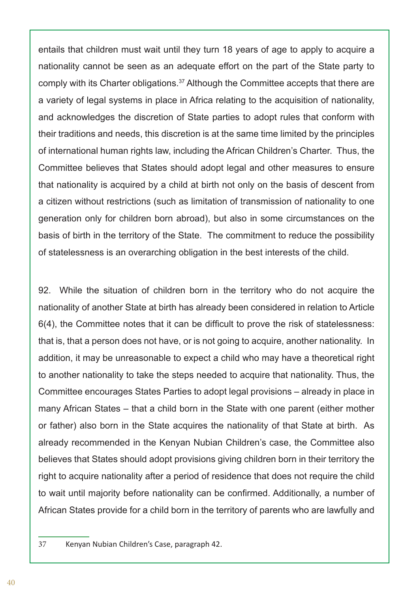entails that children must wait until they turn 18 years of age to apply to acquire a nationality cannot be seen as an adequate effort on the part of the State party to comply with its Charter obligations.37 Although the Committee accepts that there are a variety of legal systems in place in Africa relating to the acquisition of nationality, and acknowledges the discretion of State parties to adopt rules that conform with their traditions and needs, this discretion is at the same time limited by the principles of international human rights law, including the African Children's Charter. Thus, the Committee believes that States should adopt legal and other measures to ensure that nationality is acquired by a child at birth not only on the basis of descent from a citizen without restrictions (such as limitation of transmission of nationality to one generation only for children born abroad), but also in some circumstances on the basis of birth in the territory of the State. The commitment to reduce the possibility of statelessness is an overarching obligation in the best interests of the child.

92. While the situation of children born in the territory who do not acquire the nationality of another State at birth has already been considered in relation to Article 6(4), the Committee notes that it can be difficult to prove the risk of statelessness: that is, that a person does not have, or is not going to acquire, another nationality. In addition, it may be unreasonable to expect a child who may have a theoretical right to another nationality to take the steps needed to acquire that nationality. Thus, the Committee encourages States Parties to adopt legal provisions – already in place in many African States – that a child born in the State with one parent (either mother or father) also born in the State acquires the nationality of that State at birth. As already recommended in the Kenyan Nubian Children's case, the Committee also believes that States should adopt provisions giving children born in their territory the right to acquire nationality after a period of residence that does not require the child to wait until majority before nationality can be confirmed. Additionally, a number of African States provide for a child born in the territory of parents who are lawfully and

<sup>37</sup> Kenyan Nubian Children's Case, paragraph 42.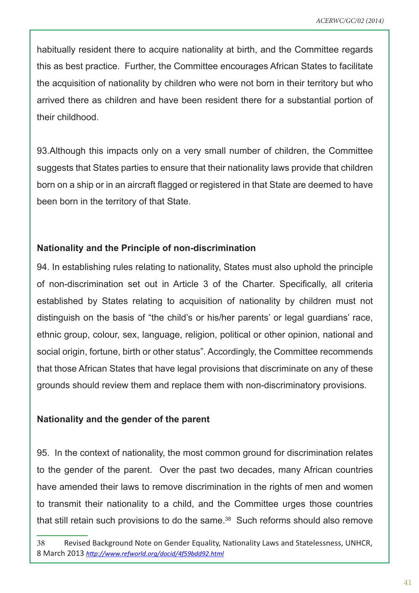habitually resident there to acquire nationality at birth, and the Committee regards this as best practice. Further, the Committee encourages African States to facilitate the acquisition of nationality by children who were not born in their territory but who arrived there as children and have been resident there for a substantial portion of their childhood.

93.Although this impacts only on a very small number of children, the Committee suggests that States parties to ensure that their nationality laws provide that children born on a ship or in an aircraft flagged or registered in that State are deemed to have been born in the territory of that State.

## **Nationality and the Principle of non-discrimination**

94. In establishing rules relating to nationality, States must also uphold the principle of non-discrimination set out in Article 3 of the Charter. Specifically, all criteria established by States relating to acquisition of nationality by children must not distinguish on the basis of "the child's or his/her parents' or legal guardians' race, ethnic group, colour, sex, language, religion, political or other opinion, national and social origin, fortune, birth or other status". Accordingly, the Committee recommends that those African States that have legal provisions that discriminate on any of these grounds should review them and replace them with non-discriminatory provisions.

## **Nationality and the gender of the parent**

95. In the context of nationality, the most common ground for discrimination relates to the gender of the parent. Over the past two decades, many African countries have amended their laws to remove discrimination in the rights of men and women to transmit their nationality to a child, and the Committee urges those countries that still retain such provisions to do the same.<sup>38</sup> Such reforms should also remove

<sup>38</sup> Revised Background Note on Gender Equality, Nationality Laws and Statelessness, UNHCR, 8 March 2013 *http://www.refworld.org/docid/4f59bdd92.html*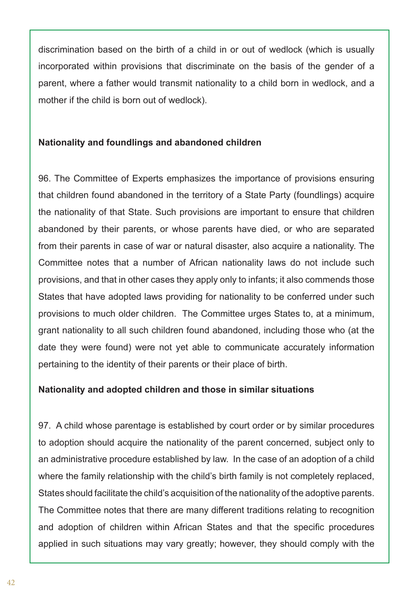discrimination based on the birth of a child in or out of wedlock (which is usually incorporated within provisions that discriminate on the basis of the gender of a parent, where a father would transmit nationality to a child born in wedlock, and a mother if the child is born out of wedlock).

# **Nationality and foundlings and abandoned children**

96. The Committee of Experts emphasizes the importance of provisions ensuring that children found abandoned in the territory of a State Party (foundlings) acquire the nationality of that State. Such provisions are important to ensure that children abandoned by their parents, or whose parents have died, or who are separated from their parents in case of war or natural disaster, also acquire a nationality. The Committee notes that a number of African nationality laws do not include such provisions, and that in other cases they apply only to infants; it also commends those States that have adopted laws providing for nationality to be conferred under such provisions to much older children. The Committee urges States to, at a minimum, grant nationality to all such children found abandoned, including those who (at the date they were found) were not yet able to communicate accurately information pertaining to the identity of their parents or their place of birth.

## **Nationality and adopted children and those in similar situations**

97. A child whose parentage is established by court order or by similar procedures to adoption should acquire the nationality of the parent concerned, subject only to an administrative procedure established by law. In the case of an adoption of a child where the family relationship with the child's birth family is not completely replaced, States should facilitate the child's acquisition of the nationality of the adoptive parents. The Committee notes that there are many different traditions relating to recognition and adoption of children within African States and that the specific procedures applied in such situations may vary greatly; however, they should comply with the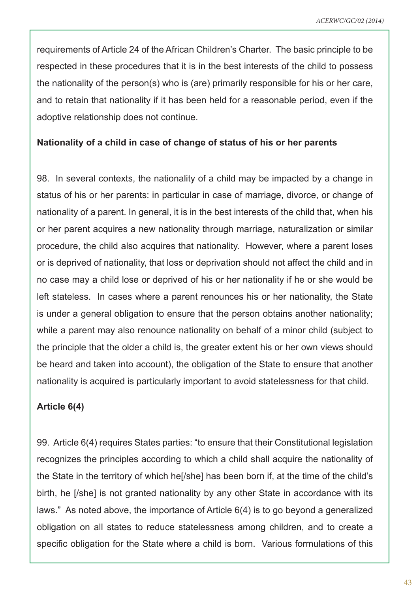requirements of Article 24 of the African Children's Charter. The basic principle to be respected in these procedures that it is in the best interests of the child to possess the nationality of the person(s) who is (are) primarily responsible for his or her care, and to retain that nationality if it has been held for a reasonable period, even if the adoptive relationship does not continue.

#### **Nationality of a child in case of change of status of his or her parents**

98. In several contexts, the nationality of a child may be impacted by a change in status of his or her parents: in particular in case of marriage, divorce, or change of nationality of a parent. In general, it is in the best interests of the child that, when his or her parent acquires a new nationality through marriage, naturalization or similar procedure, the child also acquires that nationality. However, where a parent loses or is deprived of nationality, that loss or deprivation should not affect the child and in no case may a child lose or deprived of his or her nationality if he or she would be left stateless. In cases where a parent renounces his or her nationality, the State is under a general obligation to ensure that the person obtains another nationality; while a parent may also renounce nationality on behalf of a minor child (subject to the principle that the older a child is, the greater extent his or her own views should be heard and taken into account), the obligation of the State to ensure that another nationality is acquired is particularly important to avoid statelessness for that child.

## **Article 6(4)**

99. Article 6(4) requires States parties: "to ensure that their Constitutional legislation recognizes the principles according to which a child shall acquire the nationality of the State in the territory of which he[/she] has been born if, at the time of the child's birth, he [/she] is not granted nationality by any other State in accordance with its laws." As noted above, the importance of Article 6(4) is to go beyond a generalized obligation on all states to reduce statelessness among children, and to create a specific obligation for the State where a child is born. Various formulations of this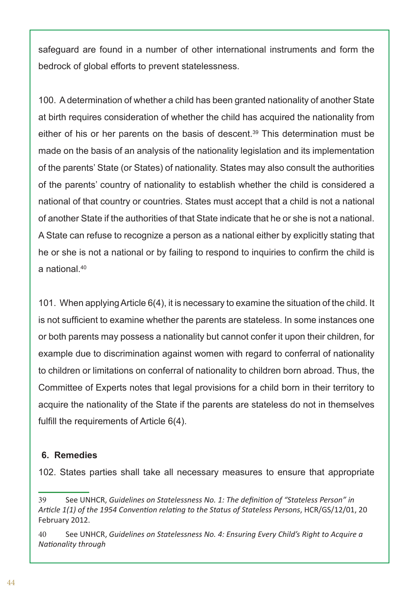safeguard are found in a number of other international instruments and form the bedrock of global efforts to prevent statelessness.

100. A determination of whether a child has been granted nationality of another State at birth requires consideration of whether the child has acquired the nationality from either of his or her parents on the basis of descent.<sup>39</sup> This determination must be made on the basis of an analysis of the nationality legislation and its implementation of the parents' State (or States) of nationality. States may also consult the authorities of the parents' country of nationality to establish whether the child is considered a national of that country or countries. States must accept that a child is not a national of another State if the authorities of that State indicate that he or she is not a national. A State can refuse to recognize a person as a national either by explicitly stating that he or she is not a national or by failing to respond to inquiries to confirm the child is a national.40

101. When applying Article 6(4), it is necessary to examine the situation of the child. It is not sufficient to examine whether the parents are stateless. In some instances one or both parents may possess a nationality but cannot confer it upon their children, for example due to discrimination against women with regard to conferral of nationality to children or limitations on conferral of nationality to children born abroad. Thus, the Committee of Experts notes that legal provisions for a child born in their territory to acquire the nationality of the State if the parents are stateless do not in themselves fulfill the requirements of Article 6(4).

## **6. Remedies**

102. States parties shall take all necessary measures to ensure that appropriate

<sup>39</sup> See UNHCR, *Guidelines on Statelessness No. 1: The definition of "Stateless Person" in Article 1(1) of the 1954 Convention relating to the Status of Stateless Persons*, HCR/GS/12/01, 20 February 2012.

<sup>40</sup> See UNHCR, *Guidelines on Statelessness No. 4: Ensuring Every Child's Right to Acquire a Nationality through*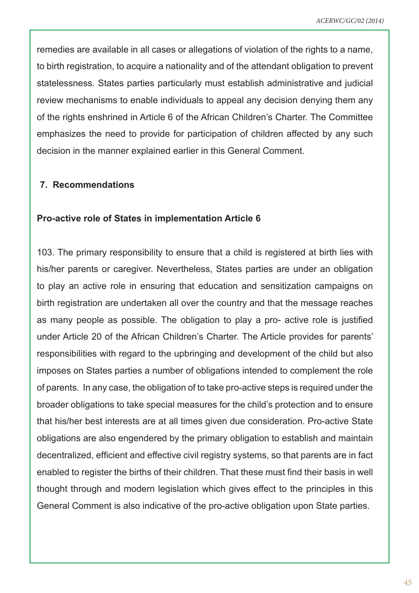remedies are available in all cases or allegations of violation of the rights to a name, to birth registration, to acquire a nationality and of the attendant obligation to prevent statelessness. States parties particularly must establish administrative and judicial review mechanisms to enable individuals to appeal any decision denying them any of the rights enshrined in Article 6 of the African Children's Charter. The Committee emphasizes the need to provide for participation of children affected by any such decision in the manner explained earlier in this General Comment.

## **7. Recommendations**

#### **Pro-active role of States in implementation Article 6**

103. The primary responsibility to ensure that a child is registered at birth lies with his/her parents or caregiver. Nevertheless, States parties are under an obligation to play an active role in ensuring that education and sensitization campaigns on birth registration are undertaken all over the country and that the message reaches as many people as possible. The obligation to play a pro- active role is justified under Article 20 of the African Children's Charter. The Article provides for parents' responsibilities with regard to the upbringing and development of the child but also imposes on States parties a number of obligations intended to complement the role of parents. In any case, the obligation of to take pro-active steps is required under the broader obligations to take special measures for the child's protection and to ensure that his/her best interests are at all times given due consideration. Pro-active State obligations are also engendered by the primary obligation to establish and maintain decentralized, efficient and effective civil registry systems, so that parents are in fact enabled to register the births of their children. That these must find their basis in well thought through and modern legislation which gives effect to the principles in this General Comment is also indicative of the pro-active obligation upon State parties.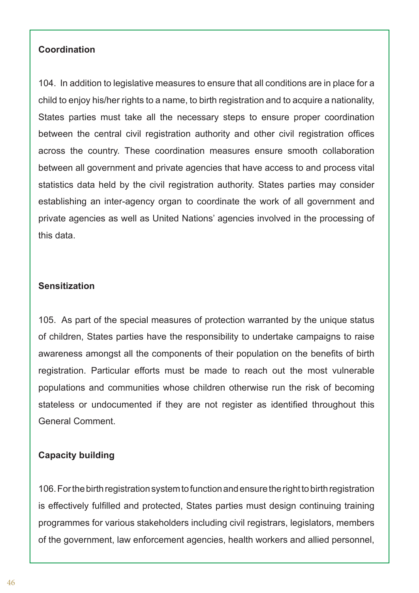# **Coordination**

104. In addition to legislative measures to ensure that all conditions are in place for a child to enjoy his/her rights to a name, to birth registration and to acquire a nationality, States parties must take all the necessary steps to ensure proper coordination between the central civil registration authority and other civil registration offices across the country. These coordination measures ensure smooth collaboration between all government and private agencies that have access to and process vital statistics data held by the civil registration authority. States parties may consider establishing an inter-agency organ to coordinate the work of all government and private agencies as well as United Nations' agencies involved in the processing of this data.

#### **Sensitization**

105. As part of the special measures of protection warranted by the unique status of children, States parties have the responsibility to undertake campaigns to raise awareness amongst all the components of their population on the benefits of birth registration. Particular efforts must be made to reach out the most vulnerable populations and communities whose children otherwise run the risk of becoming stateless or undocumented if they are not register as identified throughout this General Comment.

# **Capacity building**

106. For the birth registration system to function and ensure the right to birth registration is effectively fulfilled and protected, States parties must design continuing training programmes for various stakeholders including civil registrars, legislators, members of the government, law enforcement agencies, health workers and allied personnel,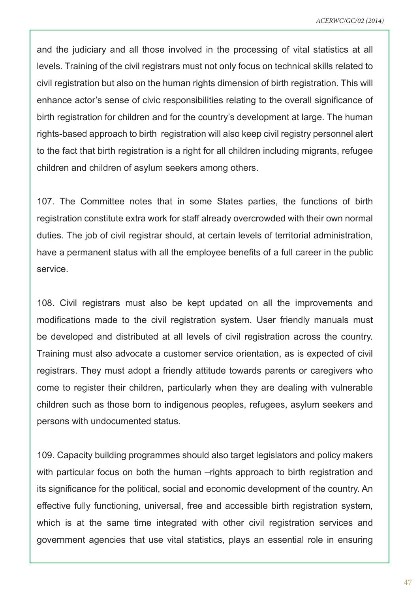and the judiciary and all those involved in the processing of vital statistics at all levels. Training of the civil registrars must not only focus on technical skills related to civil registration but also on the human rights dimension of birth registration. This will enhance actor's sense of civic responsibilities relating to the overall significance of birth registration for children and for the country's development at large. The human rights-based approach to birth registration will also keep civil registry personnel alert to the fact that birth registration is a right for all children including migrants, refugee children and children of asylum seekers among others.

107. The Committee notes that in some States parties, the functions of birth registration constitute extra work for staff already overcrowded with their own normal duties. The job of civil registrar should, at certain levels of territorial administration, have a permanent status with all the employee benefits of a full career in the public service.

108. Civil registrars must also be kept updated on all the improvements and modifications made to the civil registration system. User friendly manuals must be developed and distributed at all levels of civil registration across the country. Training must also advocate a customer service orientation, as is expected of civil registrars. They must adopt a friendly attitude towards parents or caregivers who come to register their children, particularly when they are dealing with vulnerable children such as those born to indigenous peoples, refugees, asylum seekers and persons with undocumented status.

109. Capacity building programmes should also target legislators and policy makers with particular focus on both the human –rights approach to birth registration and its significance for the political, social and economic development of the country. An effective fully functioning, universal, free and accessible birth registration system, which is at the same time integrated with other civil registration services and government agencies that use vital statistics, plays an essential role in ensuring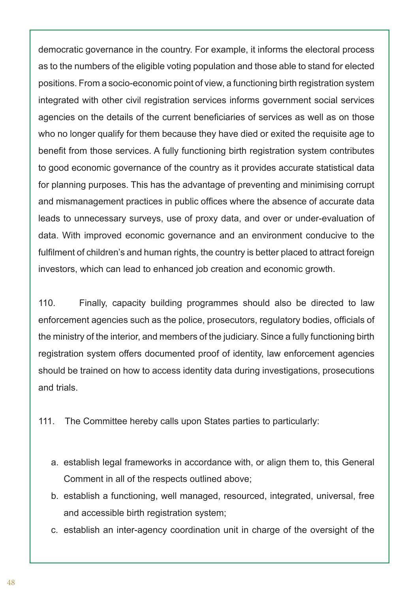democratic governance in the country. For example, it informs the electoral process as to the numbers of the eligible voting population and those able to stand for elected positions. From a socio-economic point of view, a functioning birth registration system integrated with other civil registration services informs government social services agencies on the details of the current beneficiaries of services as well as on those who no longer qualify for them because they have died or exited the requisite age to benefit from those services. A fully functioning birth registration system contributes to good economic governance of the country as it provides accurate statistical data for planning purposes. This has the advantage of preventing and minimising corrupt and mismanagement practices in public offices where the absence of accurate data leads to unnecessary surveys, use of proxy data, and over or under-evaluation of data. With improved economic governance and an environment conducive to the fulfilment of children's and human rights, the country is better placed to attract foreign investors, which can lead to enhanced job creation and economic growth.

110. Finally, capacity building programmes should also be directed to law enforcement agencies such as the police, prosecutors, regulatory bodies, officials of the ministry of the interior, and members of the judiciary. Since a fully functioning birth registration system offers documented proof of identity, law enforcement agencies should be trained on how to access identity data during investigations, prosecutions and trials.

111. The Committee hereby calls upon States parties to particularly:

- a. establish legal frameworks in accordance with, or align them to, this General Comment in all of the respects outlined above;
- b. establish a functioning, well managed, resourced, integrated, universal, free and accessible birth registration system;
- c. establish an inter-agency coordination unit in charge of the oversight of the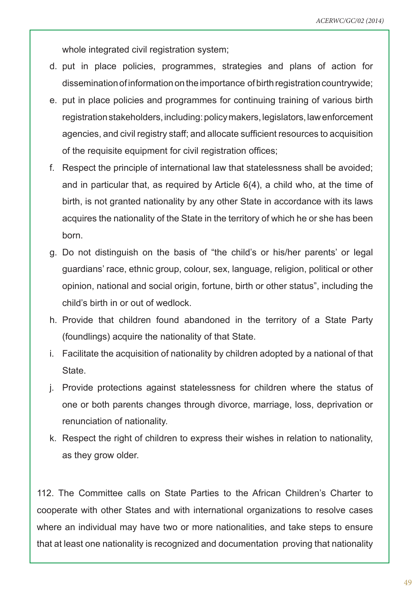whole integrated civil registration system;

- d. put in place policies, programmes, strategies and plans of action for dissemination of information on the importance of birth registration countrywide;
- e. put in place policies and programmes for continuing training of various birth registration stakeholders, including: policy makers, legislators, law enforcement agencies, and civil registry staff; and allocate sufficient resources to acquisition of the requisite equipment for civil registration offices;
- f. Respect the principle of international law that statelessness shall be avoided; and in particular that, as required by Article 6(4), a child who, at the time of birth, is not granted nationality by any other State in accordance with its laws acquires the nationality of the State in the territory of which he or she has been born.
- g. Do not distinguish on the basis of "the child's or his/her parents' or legal guardians' race, ethnic group, colour, sex, language, religion, political or other opinion, national and social origin, fortune, birth or other status", including the child's birth in or out of wedlock.
- h. Provide that children found abandoned in the territory of a State Party (foundlings) acquire the nationality of that State.
- i. Facilitate the acquisition of nationality by children adopted by a national of that State.
- j. Provide protections against statelessness for children where the status of one or both parents changes through divorce, marriage, loss, deprivation or renunciation of nationality.
- k. Respect the right of children to express their wishes in relation to nationality, as they grow older.

112. The Committee calls on State Parties to the African Children's Charter to cooperate with other States and with international organizations to resolve cases where an individual may have two or more nationalities, and take steps to ensure that at least one nationality is recognized and documentation proving that nationality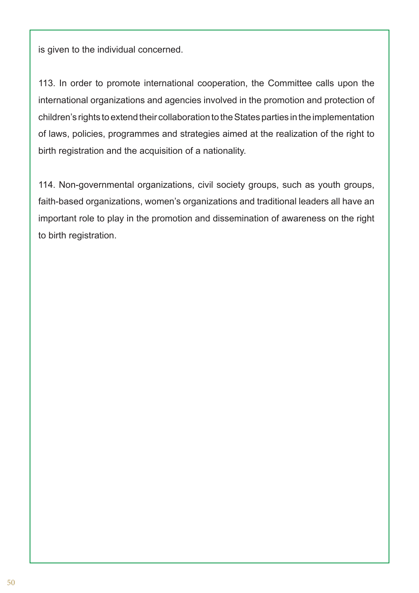is given to the individual concerned.

113. In order to promote international cooperation, the Committee calls upon the international organizations and agencies involved in the promotion and protection of children's rights to extend their collaboration to the States parties in the implementation of laws, policies, programmes and strategies aimed at the realization of the right to birth registration and the acquisition of a nationality.

114. Non-governmental organizations, civil society groups, such as youth groups, faith-based organizations, women's organizations and traditional leaders all have an important role to play in the promotion and dissemination of awareness on the right to birth registration.